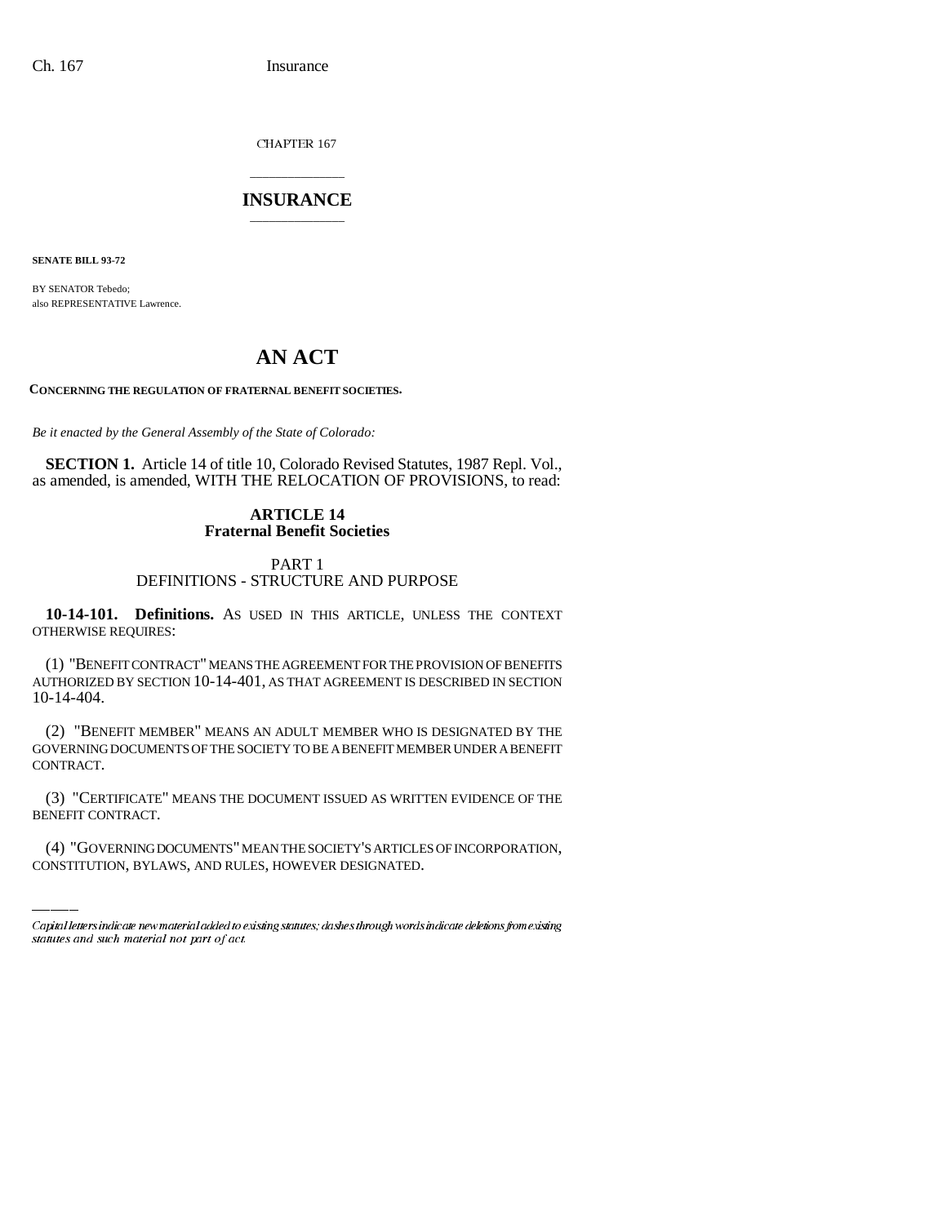CHAPTER 167

# \_\_\_\_\_\_\_\_\_\_\_\_\_\_\_ **INSURANCE** \_\_\_\_\_\_\_\_\_\_\_\_\_\_\_

**SENATE BILL 93-72**

BY SENATOR Tebedo; also REPRESENTATIVE Lawrence.

# **AN ACT**

**CONCERNING THE REGULATION OF FRATERNAL BENEFIT SOCIETIES.**

*Be it enacted by the General Assembly of the State of Colorado:*

**SECTION 1.** Article 14 of title 10, Colorado Revised Statutes, 1987 Repl. Vol., as amended, is amended, WITH THE RELOCATION OF PROVISIONS, to read:

# **ARTICLE 14 Fraternal Benefit Societies**

# PART 1 DEFINITIONS - STRUCTURE AND PURPOSE

**10-14-101. Definitions.** AS USED IN THIS ARTICLE, UNLESS THE CONTEXT OTHERWISE REQUIRES:

(1) "BENEFIT CONTRACT" MEANS THE AGREEMENT FOR THE PROVISION OF BENEFITS AUTHORIZED BY SECTION 10-14-401, AS THAT AGREEMENT IS DESCRIBED IN SECTION 10-14-404.

(2) "BENEFIT MEMBER" MEANS AN ADULT MEMBER WHO IS DESIGNATED BY THE GOVERNING DOCUMENTS OF THE SOCIETY TO BE A BENEFIT MEMBER UNDER A BENEFIT CONTRACT.

(3) "CERTIFICATE" MEANS THE DOCUMENT ISSUED AS WRITTEN EVIDENCE OF THE BENEFIT CONTRACT.

(4) "GOVERNING DOCUMENTS" MEAN THE SOCIETY'S ARTICLES OF INCORPORATION, CONSTITUTION, BYLAWS, AND RULES, HOWEVER DESIGNATED.

Capital letters indicate new material added to existing statutes; dashes through words indicate deletions from existing statutes and such material not part of act.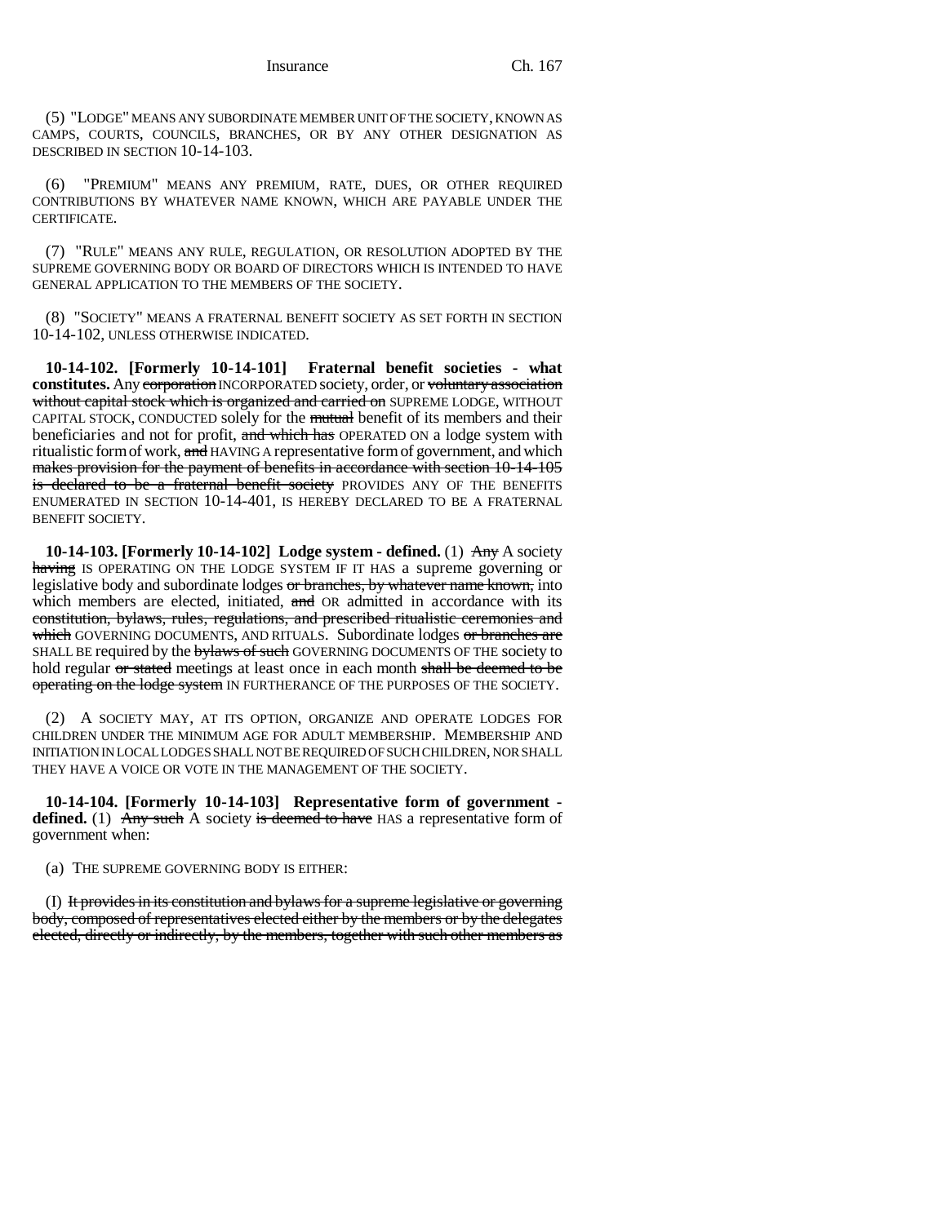(5) "LODGE" MEANS ANY SUBORDINATE MEMBER UNIT OF THE SOCIETY, KNOWN AS CAMPS, COURTS, COUNCILS, BRANCHES, OR BY ANY OTHER DESIGNATION AS DESCRIBED IN SECTION 10-14-103.

(6) "PREMIUM" MEANS ANY PREMIUM, RATE, DUES, OR OTHER REQUIRED CONTRIBUTIONS BY WHATEVER NAME KNOWN, WHICH ARE PAYABLE UNDER THE **CERTIFICATE** 

(7) "RULE" MEANS ANY RULE, REGULATION, OR RESOLUTION ADOPTED BY THE SUPREME GOVERNING BODY OR BOARD OF DIRECTORS WHICH IS INTENDED TO HAVE GENERAL APPLICATION TO THE MEMBERS OF THE SOCIETY.

(8) "SOCIETY" MEANS A FRATERNAL BENEFIT SOCIETY AS SET FORTH IN SECTION 10-14-102, UNLESS OTHERWISE INDICATED.

**10-14-102. [Formerly 10-14-101] Fraternal benefit societies - what constitutes.** Any corporation INCORPORATED society, order, or voluntary association without capital stock which is organized and carried on SUPREME LODGE, WITHOUT CAPITAL STOCK, CONDUCTED solely for the mutual benefit of its members and their beneficiaries and not for profit, and which has OPERATED ON a lodge system with ritualistic form of work, and HAVING A representative form of government, and which makes provision for the payment of benefits in accordance with section 10-14-105 is declared to be a fraternal benefit society PROVIDES ANY OF THE BENEFITS ENUMERATED IN SECTION 10-14-401, IS HEREBY DECLARED TO BE A FRATERNAL BENEFIT SOCIETY.

**10-14-103. [Formerly 10-14-102] Lodge system - defined.** (1) Any A society having IS OPERATING ON THE LODGE SYSTEM IF IT HAS a supreme governing or legislative body and subordinate lodges or branches, by whatever name known, into which members are elected, initiated, and OR admitted in accordance with its constitution, bylaws, rules, regulations, and prescribed ritualistic ceremonies and which GOVERNING DOCUMENTS, AND RITUALS. Subordinate lodges or branches are SHALL BE required by the bylaws of such GOVERNING DOCUMENTS OF THE society to hold regular or stated meetings at least once in each month shall be deemed to be operating on the lodge system IN FURTHERANCE OF THE PURPOSES OF THE SOCIETY.

(2) A SOCIETY MAY, AT ITS OPTION, ORGANIZE AND OPERATE LODGES FOR CHILDREN UNDER THE MINIMUM AGE FOR ADULT MEMBERSHIP. MEMBERSHIP AND INITIATION IN LOCAL LODGES SHALL NOT BE REQUIRED OF SUCH CHILDREN, NOR SHALL THEY HAVE A VOICE OR VOTE IN THE MANAGEMENT OF THE SOCIETY.

**10-14-104. [Formerly 10-14-103] Representative form of government defined.** (1) Any such A society is deemed to have HAS a representative form of government when:

(a) THE SUPREME GOVERNING BODY IS EITHER:

(I) It provides in its constitution and bylaws for a supreme legislative or governing body, composed of representatives elected either by the members or by the delegates elected, directly or indirectly, by the members, together with such other members as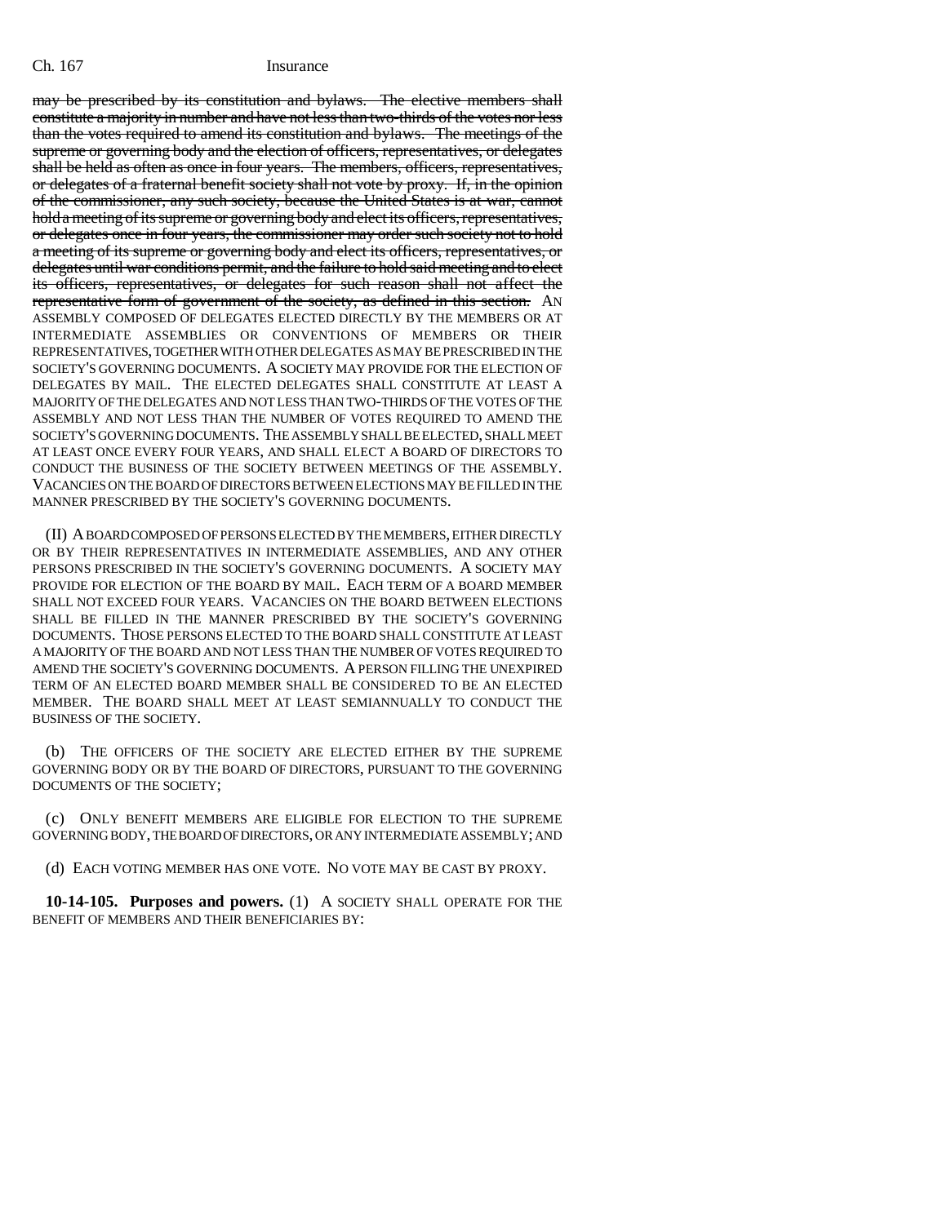may be prescribed by its constitution and bylaws. The elective members shall constitute a majority in number and have not less than two-thirds of the votes nor less than the votes required to amend its constitution and bylaws. The meetings of the supreme or governing body and the election of officers, representatives, or delegates shall be held as often as once in four years. The members, officers, representatives, or delegates of a fraternal benefit society shall not vote by proxy. If, in the opinion of the commissioner, any such society, because the United States is at war, cannot hold a meeting of its supreme or governing body and elect its officers, representatives, or delegates once in four years, the commissioner may order such society not to hold a meeting of its supreme or governing body and elect its officers, representatives, or delegates until war conditions permit, and the failure to hold said meeting and to elect its officers, representatives, or delegates for such reason shall not affect the representative form of government of the society, as defined in this section. AN ASSEMBLY COMPOSED OF DELEGATES ELECTED DIRECTLY BY THE MEMBERS OR AT INTERMEDIATE ASSEMBLIES OR CONVENTIONS OF MEMBERS OR THEIR REPRESENTATIVES, TOGETHER WITH OTHER DELEGATES AS MAY BE PRESCRIBED IN THE SOCIETY'S GOVERNING DOCUMENTS. A SOCIETY MAY PROVIDE FOR THE ELECTION OF DELEGATES BY MAIL. THE ELECTED DELEGATES SHALL CONSTITUTE AT LEAST A MAJORITY OF THE DELEGATES AND NOT LESS THAN TWO-THIRDS OF THE VOTES OF THE ASSEMBLY AND NOT LESS THAN THE NUMBER OF VOTES REQUIRED TO AMEND THE SOCIETY'S GOVERNING DOCUMENTS. THE ASSEMBLY SHALL BE ELECTED, SHALL MEET AT LEAST ONCE EVERY FOUR YEARS, AND SHALL ELECT A BOARD OF DIRECTORS TO CONDUCT THE BUSINESS OF THE SOCIETY BETWEEN MEETINGS OF THE ASSEMBLY. VACANCIES ON THE BOARD OF DIRECTORS BETWEEN ELECTIONS MAY BE FILLED IN THE MANNER PRESCRIBED BY THE SOCIETY'S GOVERNING DOCUMENTS.

(II) A BOARD COMPOSED OF PERSONS ELECTED BY THE MEMBERS, EITHER DIRECTLY OR BY THEIR REPRESENTATIVES IN INTERMEDIATE ASSEMBLIES, AND ANY OTHER PERSONS PRESCRIBED IN THE SOCIETY'S GOVERNING DOCUMENTS. A SOCIETY MAY PROVIDE FOR ELECTION OF THE BOARD BY MAIL. EACH TERM OF A BOARD MEMBER SHALL NOT EXCEED FOUR YEARS. VACANCIES ON THE BOARD BETWEEN ELECTIONS SHALL BE FILLED IN THE MANNER PRESCRIBED BY THE SOCIETY'S GOVERNING DOCUMENTS. THOSE PERSONS ELECTED TO THE BOARD SHALL CONSTITUTE AT LEAST A MAJORITY OF THE BOARD AND NOT LESS THAN THE NUMBER OF VOTES REQUIRED TO AMEND THE SOCIETY'S GOVERNING DOCUMENTS. A PERSON FILLING THE UNEXPIRED TERM OF AN ELECTED BOARD MEMBER SHALL BE CONSIDERED TO BE AN ELECTED MEMBER. THE BOARD SHALL MEET AT LEAST SEMIANNUALLY TO CONDUCT THE BUSINESS OF THE SOCIETY.

(b) THE OFFICERS OF THE SOCIETY ARE ELECTED EITHER BY THE SUPREME GOVERNING BODY OR BY THE BOARD OF DIRECTORS, PURSUANT TO THE GOVERNING DOCUMENTS OF THE SOCIETY;

(c) ONLY BENEFIT MEMBERS ARE ELIGIBLE FOR ELECTION TO THE SUPREME GOVERNING BODY, THE BOARD OF DIRECTORS, OR ANY INTERMEDIATE ASSEMBLY; AND

(d) EACH VOTING MEMBER HAS ONE VOTE. NO VOTE MAY BE CAST BY PROXY.

**10-14-105. Purposes and powers.** (1) A SOCIETY SHALL OPERATE FOR THE BENEFIT OF MEMBERS AND THEIR BENEFICIARIES BY: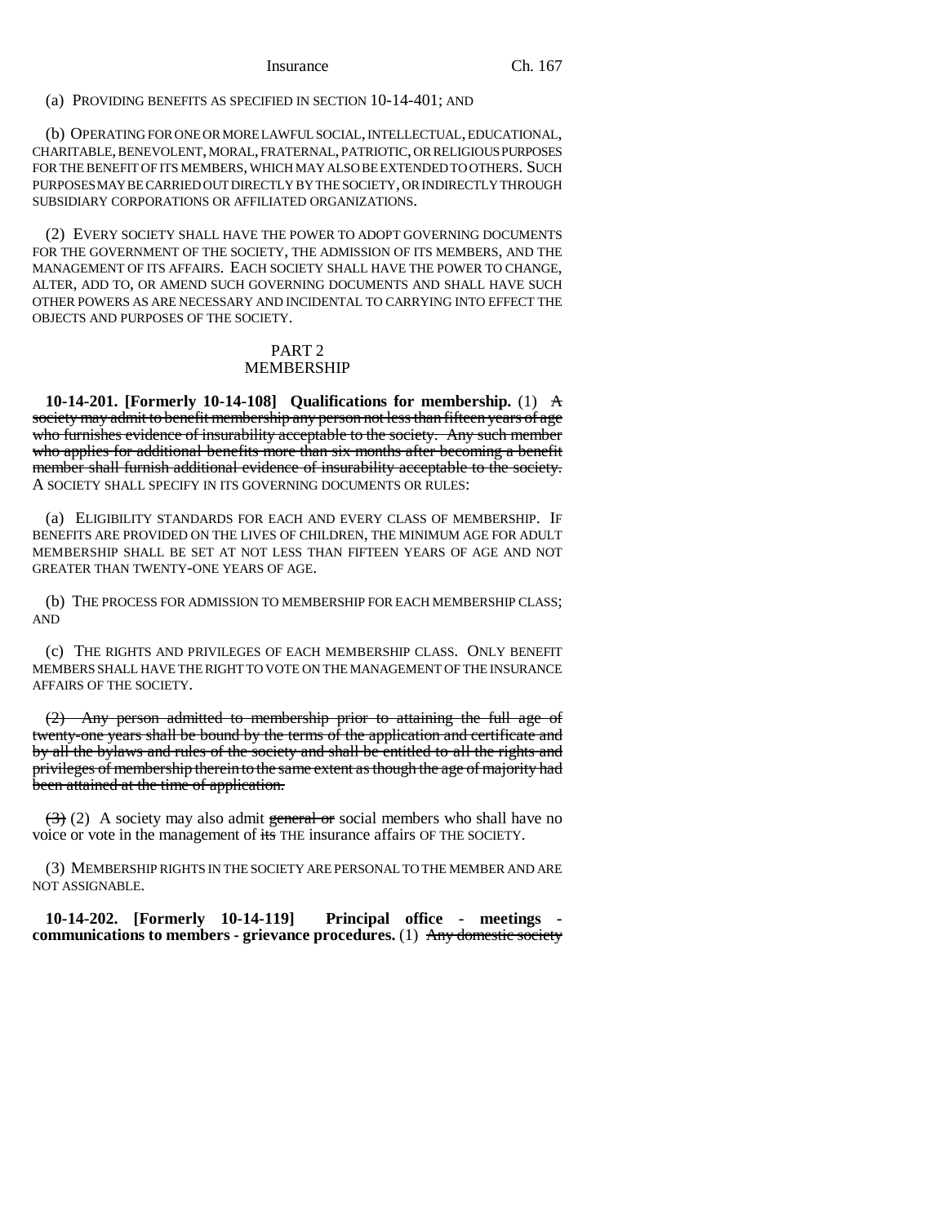(a) PROVIDING BENEFITS AS SPECIFIED IN SECTION 10-14-401; AND

(b) OPERATING FOR ONE OR MORE LAWFUL SOCIAL, INTELLECTUAL, EDUCATIONAL, CHARITABLE, BENEVOLENT, MORAL, FRATERNAL, PATRIOTIC, OR RELIGIOUS PURPOSES FOR THE BENEFIT OF ITS MEMBERS, WHICH MAY ALSO BE EXTENDED TO OTHERS. SUCH PURPOSES MAY BE CARRIED OUT DIRECTLY BY THE SOCIETY, OR INDIRECTLY THROUGH SUBSIDIARY CORPORATIONS OR AFFILIATED ORGANIZATIONS.

(2) EVERY SOCIETY SHALL HAVE THE POWER TO ADOPT GOVERNING DOCUMENTS FOR THE GOVERNMENT OF THE SOCIETY, THE ADMISSION OF ITS MEMBERS, AND THE MANAGEMENT OF ITS AFFAIRS. EACH SOCIETY SHALL HAVE THE POWER TO CHANGE, ALTER, ADD TO, OR AMEND SUCH GOVERNING DOCUMENTS AND SHALL HAVE SUCH OTHER POWERS AS ARE NECESSARY AND INCIDENTAL TO CARRYING INTO EFFECT THE OBJECTS AND PURPOSES OF THE SOCIETY.

# PART 2 MEMBERSHIP

**10-14-201. [Formerly 10-14-108] Qualifications for membership.** (1) A society may admit to benefit membership any person not less than fifteen years of age who furnishes evidence of insurability acceptable to the society. Any such member who applies for additional benefits more than six months after becoming a benefit member shall furnish additional evidence of insurability acceptable to the society. A SOCIETY SHALL SPECIFY IN ITS GOVERNING DOCUMENTS OR RULES:

(a) ELIGIBILITY STANDARDS FOR EACH AND EVERY CLASS OF MEMBERSHIP. IF BENEFITS ARE PROVIDED ON THE LIVES OF CHILDREN, THE MINIMUM AGE FOR ADULT MEMBERSHIP SHALL BE SET AT NOT LESS THAN FIFTEEN YEARS OF AGE AND NOT GREATER THAN TWENTY-ONE YEARS OF AGE.

(b) THE PROCESS FOR ADMISSION TO MEMBERSHIP FOR EACH MEMBERSHIP CLASS; AND

(c) THE RIGHTS AND PRIVILEGES OF EACH MEMBERSHIP CLASS. ONLY BENEFIT MEMBERS SHALL HAVE THE RIGHT TO VOTE ON THE MANAGEMENT OF THE INSURANCE AFFAIRS OF THE SOCIETY.

(2) Any person admitted to membership prior to attaining the full age of twenty-one years shall be bound by the terms of the application and certificate and by all the bylaws and rules of the society and shall be entitled to all the rights and privileges of membership therein to the same extent as though the age of majority had been attained at the time of application.

 $(3)$  (2) A society may also admit general or social members who shall have no voice or vote in the management of its THE insurance affairs OF THE SOCIETY.

(3) MEMBERSHIP RIGHTS IN THE SOCIETY ARE PERSONAL TO THE MEMBER AND ARE NOT ASSIGNABLE.

**10-14-202. [Formerly 10-14-119] Principal office - meetings communications to members - grievance procedures.** (1) Any domestic society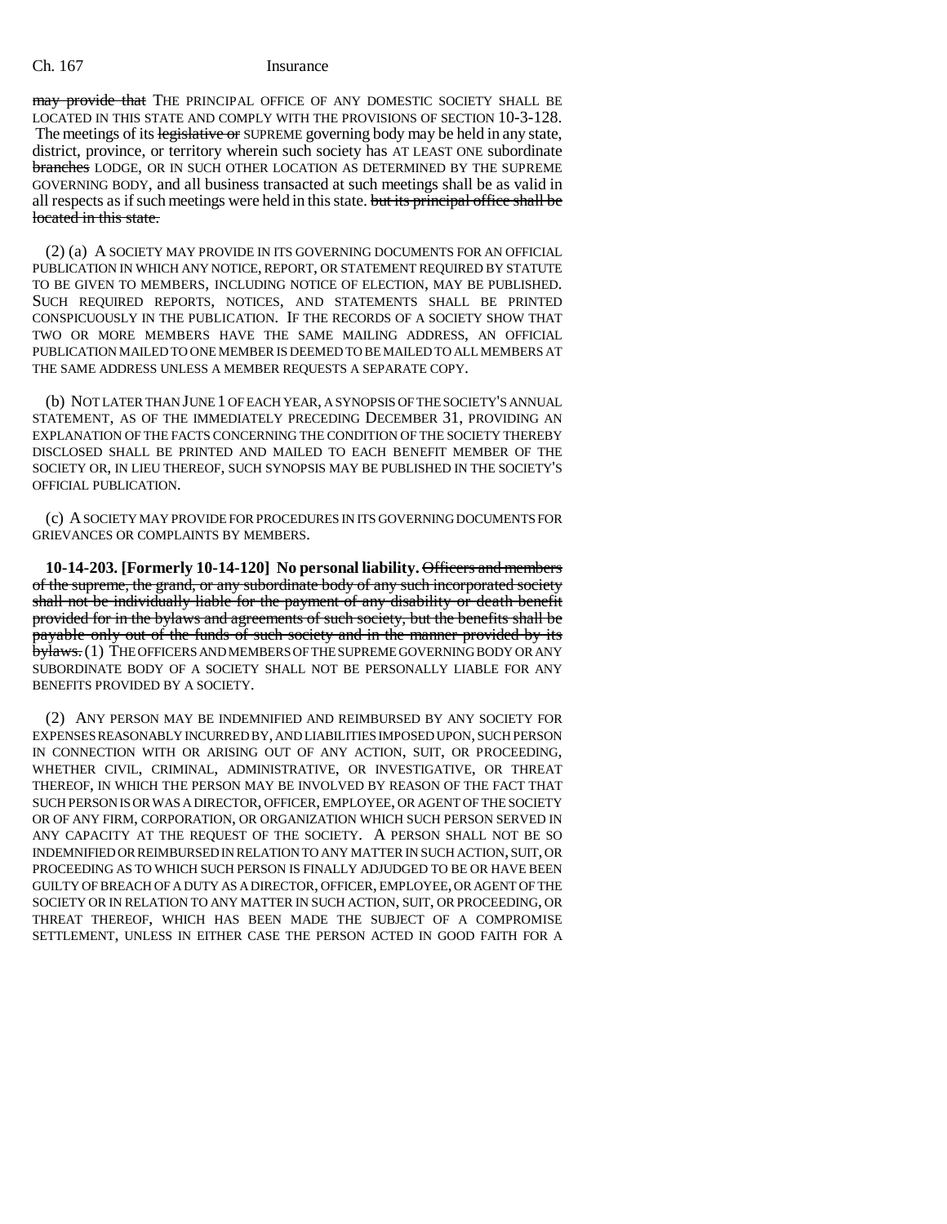may provide that THE PRINCIPAL OFFICE OF ANY DOMESTIC SOCIETY SHALL BE LOCATED IN THIS STATE AND COMPLY WITH THE PROVISIONS OF SECTION 10-3-128. The meetings of its legislative or SUPREME governing body may be held in any state, district, province, or territory wherein such society has AT LEAST ONE subordinate branches LODGE, OR IN SUCH OTHER LOCATION AS DETERMINED BY THE SUPREME GOVERNING BODY, and all business transacted at such meetings shall be as valid in all respects as if such meetings were held in this state. but its principal office shall be located in this state.

(2) (a) A SOCIETY MAY PROVIDE IN ITS GOVERNING DOCUMENTS FOR AN OFFICIAL PUBLICATION IN WHICH ANY NOTICE, REPORT, OR STATEMENT REQUIRED BY STATUTE TO BE GIVEN TO MEMBERS, INCLUDING NOTICE OF ELECTION, MAY BE PUBLISHED. SUCH REQUIRED REPORTS, NOTICES, AND STATEMENTS SHALL BE PRINTED CONSPICUOUSLY IN THE PUBLICATION. IF THE RECORDS OF A SOCIETY SHOW THAT TWO OR MORE MEMBERS HAVE THE SAME MAILING ADDRESS, AN OFFICIAL PUBLICATION MAILED TO ONE MEMBER IS DEEMED TO BE MAILED TO ALL MEMBERS AT THE SAME ADDRESS UNLESS A MEMBER REQUESTS A SEPARATE COPY.

(b) NOT LATER THAN JUNE 1 OF EACH YEAR, A SYNOPSIS OF THE SOCIETY'S ANNUAL STATEMENT, AS OF THE IMMEDIATELY PRECEDING DECEMBER 31, PROVIDING AN EXPLANATION OF THE FACTS CONCERNING THE CONDITION OF THE SOCIETY THEREBY DISCLOSED SHALL BE PRINTED AND MAILED TO EACH BENEFIT MEMBER OF THE SOCIETY OR, IN LIEU THEREOF, SUCH SYNOPSIS MAY BE PUBLISHED IN THE SOCIETY'S OFFICIAL PUBLICATION.

(c) A SOCIETY MAY PROVIDE FOR PROCEDURES IN ITS GOVERNING DOCUMENTS FOR GRIEVANCES OR COMPLAINTS BY MEMBERS.

**10-14-203. [Formerly 10-14-120] No personal liability.** Officers and members of the supreme, the grand, or any subordinate body of any such incorporated society shall not be individually liable for the payment of any disability or death benefit provided for in the bylaws and agreements of such society, but the benefits shall be payable only out of the funds of such society and in the manner provided by its bylaws. (1) THE OFFICERS AND MEMBERS OF THE SUPREME GOVERNING BODY OR ANY SUBORDINATE BODY OF A SOCIETY SHALL NOT BE PERSONALLY LIABLE FOR ANY BENEFITS PROVIDED BY A SOCIETY.

(2) ANY PERSON MAY BE INDEMNIFIED AND REIMBURSED BY ANY SOCIETY FOR EXPENSES REASONABLY INCURRED BY, AND LIABILITIES IMPOSED UPON, SUCH PERSON IN CONNECTION WITH OR ARISING OUT OF ANY ACTION, SUIT, OR PROCEEDING, WHETHER CIVIL, CRIMINAL, ADMINISTRATIVE, OR INVESTIGATIVE, OR THREAT THEREOF, IN WHICH THE PERSON MAY BE INVOLVED BY REASON OF THE FACT THAT SUCH PERSON IS OR WAS A DIRECTOR, OFFICER, EMPLOYEE, OR AGENT OF THE SOCIETY OR OF ANY FIRM, CORPORATION, OR ORGANIZATION WHICH SUCH PERSON SERVED IN ANY CAPACITY AT THE REQUEST OF THE SOCIETY. A PERSON SHALL NOT BE SO INDEMNIFIED OR REIMBURSED IN RELATION TO ANY MATTER IN SUCH ACTION, SUIT, OR PROCEEDING AS TO WHICH SUCH PERSON IS FINALLY ADJUDGED TO BE OR HAVE BEEN GUILTY OF BREACH OF A DUTY AS A DIRECTOR, OFFICER, EMPLOYEE, OR AGENT OF THE SOCIETY OR IN RELATION TO ANY MATTER IN SUCH ACTION, SUIT, OR PROCEEDING, OR THREAT THEREOF, WHICH HAS BEEN MADE THE SUBJECT OF A COMPROMISE SETTLEMENT, UNLESS IN EITHER CASE THE PERSON ACTED IN GOOD FAITH FOR A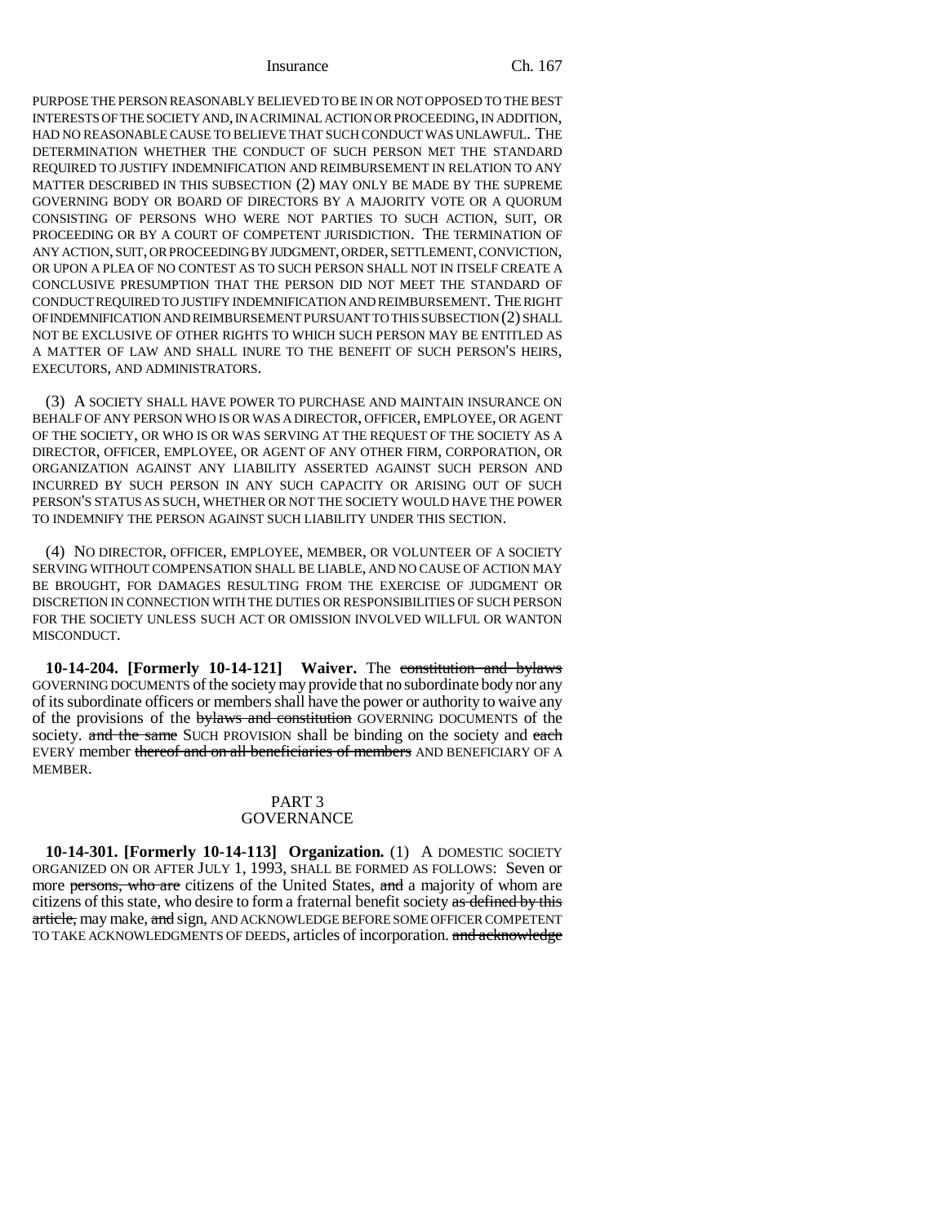PURPOSE THE PERSON REASONABLY BELIEVED TO BE IN OR NOT OPPOSED TO THE BEST INTERESTS OF THE SOCIETY AND, IN A CRIMINAL ACTION OR PROCEEDING, IN ADDITION, HAD NO REASONABLE CAUSE TO BELIEVE THAT SUCH CONDUCT WAS UNLAWFUL. THE DETERMINATION WHETHER THE CONDUCT OF SUCH PERSON MET THE STANDARD REQUIRED TO JUSTIFY INDEMNIFICATION AND REIMBURSEMENT IN RELATION TO ANY MATTER DESCRIBED IN THIS SUBSECTION (2) MAY ONLY BE MADE BY THE SUPREME GOVERNING BODY OR BOARD OF DIRECTORS BY A MAJORITY VOTE OR A QUORUM CONSISTING OF PERSONS WHO WERE NOT PARTIES TO SUCH ACTION, SUIT, OR PROCEEDING OR BY A COURT OF COMPETENT JURISDICTION. THE TERMINATION OF ANY ACTION, SUIT, OR PROCEEDING BY JUDGMENT, ORDER, SETTLEMENT, CONVICTION, OR UPON A PLEA OF NO CONTEST AS TO SUCH PERSON SHALL NOT IN ITSELF CREATE A CONCLUSIVE PRESUMPTION THAT THE PERSON DID NOT MEET THE STANDARD OF CONDUCT REQUIRED TO JUSTIFY INDEMNIFICATION AND REIMBURSEMENT. THE RIGHT OF INDEMNIFICATION AND REIMBURSEMENT PURSUANT TO THIS SUBSECTION (2) SHALL NOT BE EXCLUSIVE OF OTHER RIGHTS TO WHICH SUCH PERSON MAY BE ENTITLED AS A MATTER OF LAW AND SHALL INURE TO THE BENEFIT OF SUCH PERSON'S HEIRS, EXECUTORS, AND ADMINISTRATORS.

(3) A SOCIETY SHALL HAVE POWER TO PURCHASE AND MAINTAIN INSURANCE ON BEHALF OF ANY PERSON WHO IS OR WAS A DIRECTOR, OFFICER, EMPLOYEE, OR AGENT OF THE SOCIETY, OR WHO IS OR WAS SERVING AT THE REQUEST OF THE SOCIETY AS A DIRECTOR, OFFICER, EMPLOYEE, OR AGENT OF ANY OTHER FIRM, CORPORATION, OR ORGANIZATION AGAINST ANY LIABILITY ASSERTED AGAINST SUCH PERSON AND INCURRED BY SUCH PERSON IN ANY SUCH CAPACITY OR ARISING OUT OF SUCH PERSON'S STATUS AS SUCH, WHETHER OR NOT THE SOCIETY WOULD HAVE THE POWER TO INDEMNIFY THE PERSON AGAINST SUCH LIABILITY UNDER THIS SECTION.

(4) NO DIRECTOR, OFFICER, EMPLOYEE, MEMBER, OR VOLUNTEER OF A SOCIETY SERVING WITHOUT COMPENSATION SHALL BE LIABLE, AND NO CAUSE OF ACTION MAY BE BROUGHT, FOR DAMAGES RESULTING FROM THE EXERCISE OF JUDGMENT OR DISCRETION IN CONNECTION WITH THE DUTIES OR RESPONSIBILITIES OF SUCH PERSON FOR THE SOCIETY UNLESS SUCH ACT OR OMISSION INVOLVED WILLFUL OR WANTON MISCONDUCT.

**10-14-204. [Formerly 10-14-121] Waiver.** The constitution and bylaws GOVERNING DOCUMENTS of the society may provide that no subordinate body nor any of its subordinate officers or members shall have the power or authority to waive any of the provisions of the bylaws and constitution GOVERNING DOCUMENTS of the society. and the same SUCH PROVISION shall be binding on the society and each EVERY member thereof and on all beneficiaries of members AND BENEFICIARY OF A MEMBER.

### PART 3 **GOVERNANCE**

**10-14-301. [Formerly 10-14-113] Organization.** (1) A DOMESTIC SOCIETY ORGANIZED ON OR AFTER JULY 1, 1993, SHALL BE FORMED AS FOLLOWS: Seven or more persons, who are citizens of the United States, and a majority of whom are citizens of this state, who desire to form a fraternal benefit society as defined by this article, may make, and sign, AND ACKNOWLEDGE BEFORE SOME OFFICER COMPETENT TO TAKE ACKNOWLEDGMENTS OF DEEDS, articles of incorporation. and acknowledge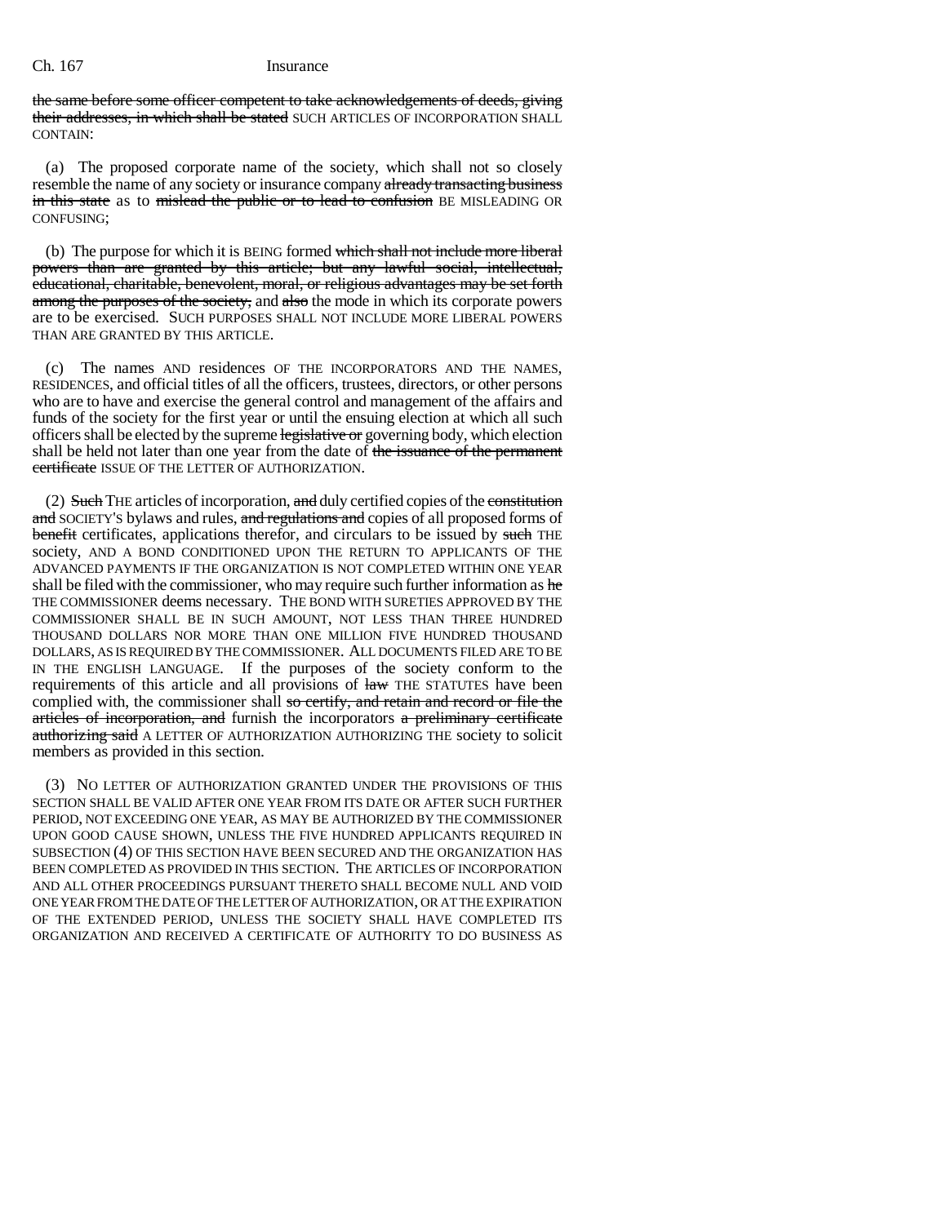the same before some officer competent to take acknowledgements of deeds, giving their addresses, in which shall be stated SUCH ARTICLES OF INCORPORATION SHALL CONTAIN:

(a) The proposed corporate name of the society, which shall not so closely resemble the name of any society or insurance company already transacting business in this state as to mislead the public or to lead to confusion BE MISLEADING OR CONFUSING;

(b) The purpose for which it is BEING formed which shall not include more liberal powers than are granted by this article; but any lawful social, intellectual, educational, charitable, benevolent, moral, or religious advantages may be set forth among the purposes of the society, and also the mode in which its corporate powers are to be exercised. SUCH PURPOSES SHALL NOT INCLUDE MORE LIBERAL POWERS THAN ARE GRANTED BY THIS ARTICLE.

(c) The names AND residences OF THE INCORPORATORS AND THE NAMES, RESIDENCES, and official titles of all the officers, trustees, directors, or other persons who are to have and exercise the general control and management of the affairs and funds of the society for the first year or until the ensuing election at which all such officers shall be elected by the supreme legislative or governing body, which election shall be held not later than one year from the date of the issuance of the permanent certificate ISSUE OF THE LETTER OF AUTHORIZATION.

 $(2)$  Such THE articles of incorporation, and duly certified copies of the constitution and SOCIETY'S bylaws and rules, and regulations and copies of all proposed forms of benefit certificates, applications therefor, and circulars to be issued by such THE society, AND A BOND CONDITIONED UPON THE RETURN TO APPLICANTS OF THE ADVANCED PAYMENTS IF THE ORGANIZATION IS NOT COMPLETED WITHIN ONE YEAR shall be filed with the commissioner, who may require such further information as he THE COMMISSIONER deems necessary. THE BOND WITH SURETIES APPROVED BY THE COMMISSIONER SHALL BE IN SUCH AMOUNT, NOT LESS THAN THREE HUNDRED THOUSAND DOLLARS NOR MORE THAN ONE MILLION FIVE HUNDRED THOUSAND DOLLARS, AS IS REQUIRED BY THE COMMISSIONER. ALL DOCUMENTS FILED ARE TO BE IN THE ENGLISH LANGUAGE. If the purposes of the society conform to the requirements of this article and all provisions of  $h$ <sub>aw</sub> THE STATUTES have been complied with, the commissioner shall so certify, and retain and record or file the articles of incorporation, and furnish the incorporators a preliminary certificate authorizing said A LETTER OF AUTHORIZATION AUTHORIZING THE society to solicit members as provided in this section.

(3) NO LETTER OF AUTHORIZATION GRANTED UNDER THE PROVISIONS OF THIS SECTION SHALL BE VALID AFTER ONE YEAR FROM ITS DATE OR AFTER SUCH FURTHER PERIOD, NOT EXCEEDING ONE YEAR, AS MAY BE AUTHORIZED BY THE COMMISSIONER UPON GOOD CAUSE SHOWN, UNLESS THE FIVE HUNDRED APPLICANTS REQUIRED IN SUBSECTION (4) OF THIS SECTION HAVE BEEN SECURED AND THE ORGANIZATION HAS BEEN COMPLETED AS PROVIDED IN THIS SECTION. THE ARTICLES OF INCORPORATION AND ALL OTHER PROCEEDINGS PURSUANT THERETO SHALL BECOME NULL AND VOID ONE YEAR FROM THE DATE OF THE LETTER OF AUTHORIZATION, OR AT THE EXPIRATION OF THE EXTENDED PERIOD, UNLESS THE SOCIETY SHALL HAVE COMPLETED ITS ORGANIZATION AND RECEIVED A CERTIFICATE OF AUTHORITY TO DO BUSINESS AS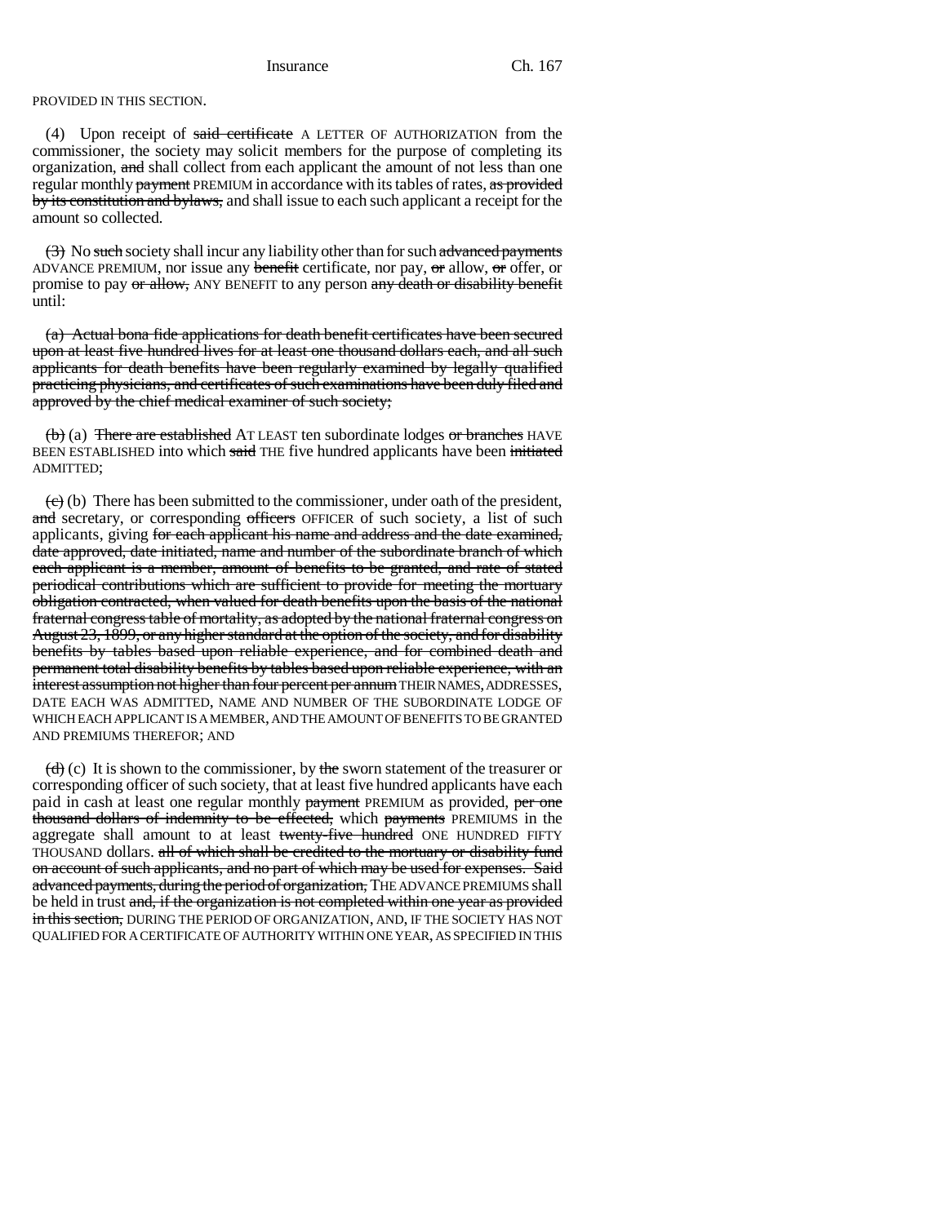PROVIDED IN THIS SECTION.

(4) Upon receipt of said certificate A LETTER OF AUTHORIZATION from the commissioner, the society may solicit members for the purpose of completing its organization, and shall collect from each applicant the amount of not less than one regular monthly payment PREMIUM in accordance with its tables of rates, as provided by its constitution and bylaws, and shall issue to each such applicant a receipt for the amount so collected.

(3) No such society shall incur any liability other than for such advanced payments ADVANCE PREMIUM, nor issue any benefit certificate, nor pay, or allow, or offer, or promise to pay or allow, ANY BENEFIT to any person any death or disability benefit until:

(a) Actual bona fide applications for death benefit certificates have been secured upon at least five hundred lives for at least one thousand dollars each, and all such applicants for death benefits have been regularly examined by legally qualified practicing physicians, and certificates of such examinations have been duly filed and approved by the chief medical examiner of such society;

 $(b)$  (a) There are established AT LEAST ten subordinate lodges or branches HAVE BEEN ESTABLISHED into which said THE five hundred applicants have been initiated ADMITTED;

 $(e)$  (b) There has been submitted to the commissioner, under oath of the president, and secretary, or corresponding officers OFFICER of such society, a list of such applicants, giving for each applicant his name and address and the date examined, date approved, date initiated, name and number of the subordinate branch of which each applicant is a member, amount of benefits to be granted, and rate of stated periodical contributions which are sufficient to provide for meeting the mortuary obligation contracted, when valued for death benefits upon the basis of the national fraternal congress table of mortality, as adopted by the national fraternal congress on August 23, 1899, or any higher standard at the option of the society, and for disability benefits by tables based upon reliable experience, and for combined death and permanent total disability benefits by tables based upon reliable experience, with an interest assumption not higher than four percent per annum THEIR NAMES, ADDRESSES, DATE EACH WAS ADMITTED, NAME AND NUMBER OF THE SUBORDINATE LODGE OF WHICH EACH APPLICANT IS A MEMBER, AND THE AMOUNT OF BENEFITS TO BE GRANTED AND PREMIUMS THEREFOR; AND

 $\left(\frac{d}{d}\right)$  (c) It is shown to the commissioner, by the sworn statement of the treasurer or corresponding officer of such society, that at least five hundred applicants have each paid in cash at least one regular monthly payment PREMIUM as provided, per one thousand dollars of indemnity to be effected, which payments PREMIUMS in the aggregate shall amount to at least twenty-five hundred ONE HUNDRED FIFTY THOUSAND dollars. all of which shall be credited to the mortuary or disability fund on account of such applicants, and no part of which may be used for expenses. Said advanced payments, during the period of organization, THE ADVANCE PREMIUMS shall be held in trust and, if the organization is not completed within one year as provided in this section, DURING THE PERIOD OF ORGANIZATION, AND, IF THE SOCIETY HAS NOT QUALIFIED FOR A CERTIFICATE OF AUTHORITY WITHIN ONE YEAR, AS SPECIFIED IN THIS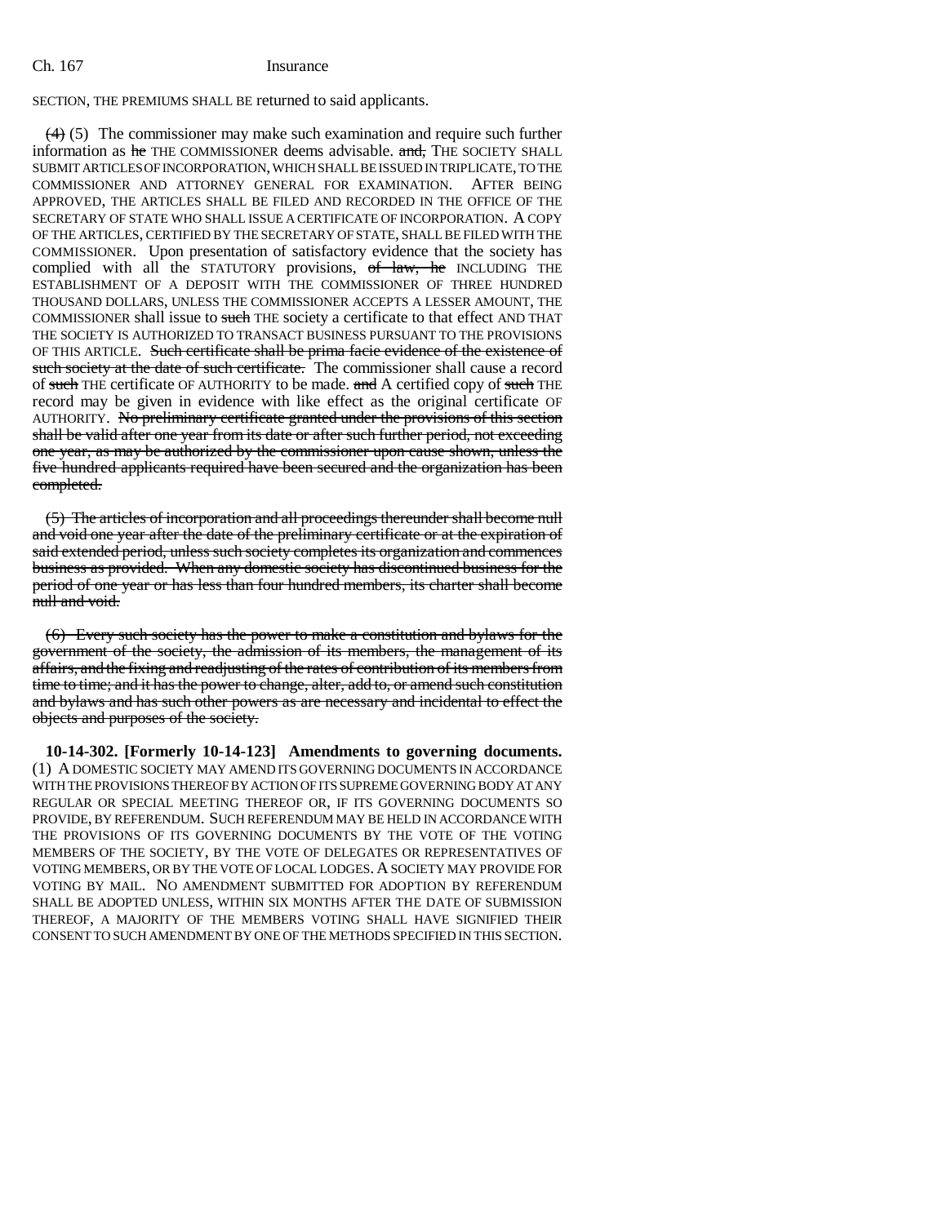SECTION, THE PREMIUMS SHALL BE returned to said applicants.

 $(4)$  (5) The commissioner may make such examination and require such further information as he THE COMMISSIONER deems advisable. and, THE SOCIETY SHALL SUBMIT ARTICLES OF INCORPORATION, WHICH SHALL BE ISSUED IN TRIPLICATE, TO THE COMMISSIONER AND ATTORNEY GENERAL FOR EXAMINATION. AFTER BEING APPROVED, THE ARTICLES SHALL BE FILED AND RECORDED IN THE OFFICE OF THE SECRETARY OF STATE WHO SHALL ISSUE A CERTIFICATE OF INCORPORATION. A COPY OF THE ARTICLES, CERTIFIED BY THE SECRETARY OF STATE, SHALL BE FILED WITH THE COMMISSIONER. Upon presentation of satisfactory evidence that the society has complied with all the STATUTORY provisions, of law, he INCLUDING THE ESTABLISHMENT OF A DEPOSIT WITH THE COMMISSIONER OF THREE HUNDRED THOUSAND DOLLARS, UNLESS THE COMMISSIONER ACCEPTS A LESSER AMOUNT, THE COMMISSIONER shall issue to such THE society a certificate to that effect AND THAT THE SOCIETY IS AUTHORIZED TO TRANSACT BUSINESS PURSUANT TO THE PROVISIONS OF THIS ARTICLE. Such certificate shall be prima facie evidence of the existence of such society at the date of such certificate. The commissioner shall cause a record of such THE certificate OF AUTHORITY to be made. and A certified copy of such THE record may be given in evidence with like effect as the original certificate OF AUTHORITY. No preliminary certificate granted under the provisions of this section shall be valid after one year from its date or after such further period, not exceeding one year, as may be authorized by the commissioner upon cause shown, unless the five hundred applicants required have been secured and the organization has been completed.

(5) The articles of incorporation and all proceedings thereunder shall become null and void one year after the date of the preliminary certificate or at the expiration of said extended period, unless such society completes its organization and commences business as provided. When any domestic society has discontinued business for the period of one year or has less than four hundred members, its charter shall become null and void.

(6) Every such society has the power to make a constitution and bylaws for the government of the society, the admission of its members, the management of its affairs, and the fixing and readjusting of the rates of contribution of its members from time to time; and it has the power to change, alter, add to, or amend such constitution and bylaws and has such other powers as are necessary and incidental to effect the objects and purposes of the society.

**10-14-302. [Formerly 10-14-123] Amendments to governing documents.** (1) A DOMESTIC SOCIETY MAY AMEND ITS GOVERNING DOCUMENTS IN ACCORDANCE WITH THE PROVISIONS THEREOF BY ACTION OF ITS SUPREME GOVERNING BODY AT ANY REGULAR OR SPECIAL MEETING THEREOF OR, IF ITS GOVERNING DOCUMENTS SO PROVIDE, BY REFERENDUM. SUCH REFERENDUM MAY BE HELD IN ACCORDANCE WITH THE PROVISIONS OF ITS GOVERNING DOCUMENTS BY THE VOTE OF THE VOTING MEMBERS OF THE SOCIETY, BY THE VOTE OF DELEGATES OR REPRESENTATIVES OF VOTING MEMBERS, OR BY THE VOTE OF LOCAL LODGES. A SOCIETY MAY PROVIDE FOR VOTING BY MAIL. NO AMENDMENT SUBMITTED FOR ADOPTION BY REFERENDUM SHALL BE ADOPTED UNLESS, WITHIN SIX MONTHS AFTER THE DATE OF SUBMISSION THEREOF, A MAJORITY OF THE MEMBERS VOTING SHALL HAVE SIGNIFIED THEIR CONSENT TO SUCH AMENDMENT BY ONE OF THE METHODS SPECIFIED IN THIS SECTION.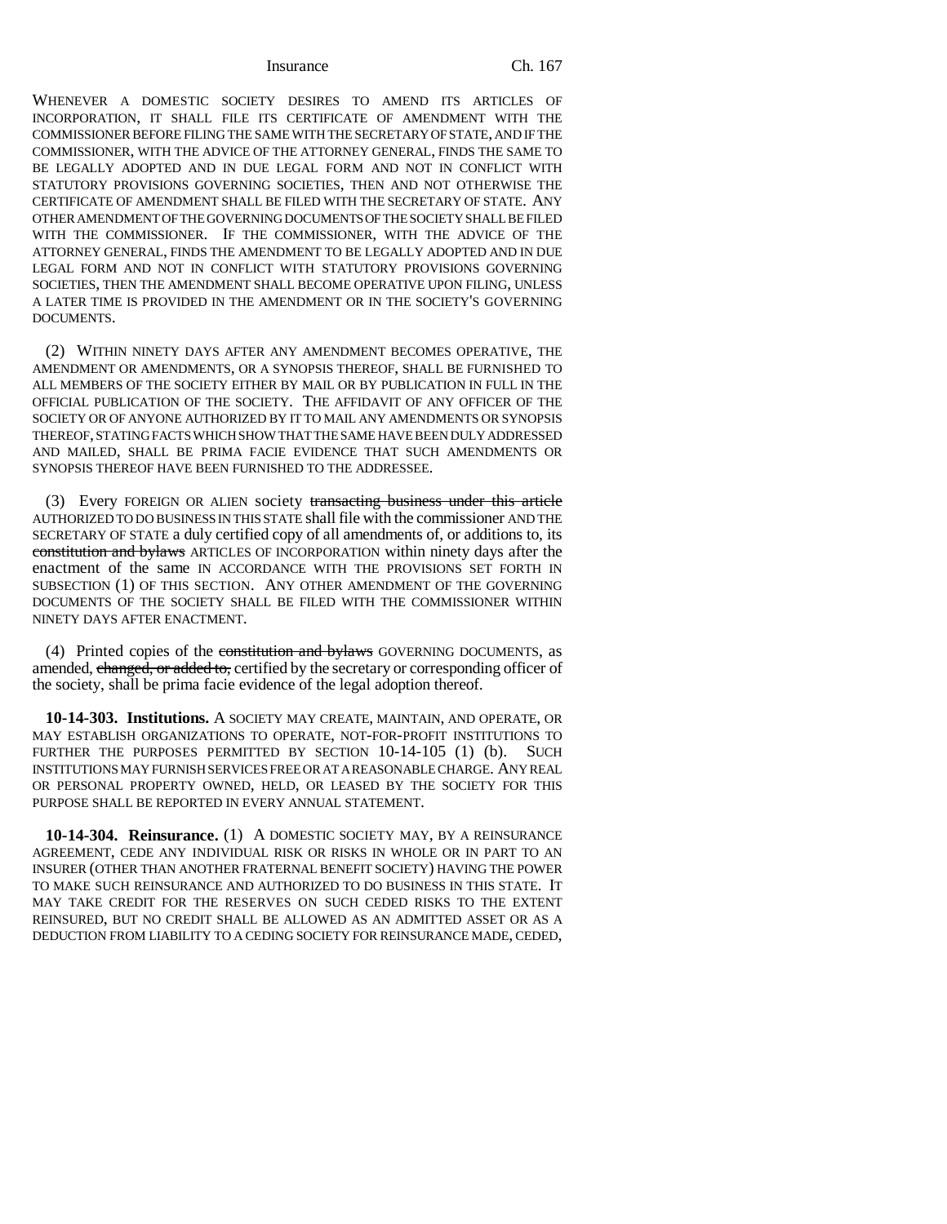WHENEVER A DOMESTIC SOCIETY DESIRES TO AMEND ITS ARTICLES OF INCORPORATION, IT SHALL FILE ITS CERTIFICATE OF AMENDMENT WITH THE COMMISSIONER BEFORE FILING THE SAME WITH THE SECRETARY OF STATE, AND IF THE COMMISSIONER, WITH THE ADVICE OF THE ATTORNEY GENERAL, FINDS THE SAME TO BE LEGALLY ADOPTED AND IN DUE LEGAL FORM AND NOT IN CONFLICT WITH STATUTORY PROVISIONS GOVERNING SOCIETIES, THEN AND NOT OTHERWISE THE CERTIFICATE OF AMENDMENT SHALL BE FILED WITH THE SECRETARY OF STATE. ANY OTHER AMENDMENT OF THE GOVERNING DOCUMENTS OF THE SOCIETY SHALL BE FILED WITH THE COMMISSIONER. IF THE COMMISSIONER, WITH THE ADVICE OF THE ATTORNEY GENERAL, FINDS THE AMENDMENT TO BE LEGALLY ADOPTED AND IN DUE LEGAL FORM AND NOT IN CONFLICT WITH STATUTORY PROVISIONS GOVERNING SOCIETIES, THEN THE AMENDMENT SHALL BECOME OPERATIVE UPON FILING, UNLESS A LATER TIME IS PROVIDED IN THE AMENDMENT OR IN THE SOCIETY'S GOVERNING DOCUMENTS.

(2) WITHIN NINETY DAYS AFTER ANY AMENDMENT BECOMES OPERATIVE, THE AMENDMENT OR AMENDMENTS, OR A SYNOPSIS THEREOF, SHALL BE FURNISHED TO ALL MEMBERS OF THE SOCIETY EITHER BY MAIL OR BY PUBLICATION IN FULL IN THE OFFICIAL PUBLICATION OF THE SOCIETY. THE AFFIDAVIT OF ANY OFFICER OF THE SOCIETY OR OF ANYONE AUTHORIZED BY IT TO MAIL ANY AMENDMENTS OR SYNOPSIS THEREOF, STATING FACTS WHICH SHOW THAT THE SAME HAVE BEEN DULY ADDRESSED AND MAILED, SHALL BE PRIMA FACIE EVIDENCE THAT SUCH AMENDMENTS OR SYNOPSIS THEREOF HAVE BEEN FURNISHED TO THE ADDRESSEE.

(3) Every FOREIGN OR ALIEN society transacting business under this article AUTHORIZED TO DO BUSINESS IN THIS STATE shall file with the commissioner AND THE SECRETARY OF STATE a duly certified copy of all amendments of, or additions to, its constitution and bylaws ARTICLES OF INCORPORATION within ninety days after the enactment of the same IN ACCORDANCE WITH THE PROVISIONS SET FORTH IN SUBSECTION (1) OF THIS SECTION. ANY OTHER AMENDMENT OF THE GOVERNING DOCUMENTS OF THE SOCIETY SHALL BE FILED WITH THE COMMISSIONER WITHIN NINETY DAYS AFTER ENACTMENT.

(4) Printed copies of the constitution and bylaws GOVERNING DOCUMENTS, as amended, changed, or added to, certified by the secretary or corresponding officer of the society, shall be prima facie evidence of the legal adoption thereof.

**10-14-303. Institutions.** A SOCIETY MAY CREATE, MAINTAIN, AND OPERATE, OR MAY ESTABLISH ORGANIZATIONS TO OPERATE, NOT-FOR-PROFIT INSTITUTIONS TO FURTHER THE PURPOSES PERMITTED BY SECTION 10-14-105 (1) (b). SUCH INSTITUTIONS MAY FURNISH SERVICES FREE OR AT A REASONABLE CHARGE. ANY REAL OR PERSONAL PROPERTY OWNED, HELD, OR LEASED BY THE SOCIETY FOR THIS PURPOSE SHALL BE REPORTED IN EVERY ANNUAL STATEMENT.

**10-14-304. Reinsurance.** (1) A DOMESTIC SOCIETY MAY, BY A REINSURANCE AGREEMENT, CEDE ANY INDIVIDUAL RISK OR RISKS IN WHOLE OR IN PART TO AN INSURER (OTHER THAN ANOTHER FRATERNAL BENEFIT SOCIETY) HAVING THE POWER TO MAKE SUCH REINSURANCE AND AUTHORIZED TO DO BUSINESS IN THIS STATE. IT MAY TAKE CREDIT FOR THE RESERVES ON SUCH CEDED RISKS TO THE EXTENT REINSURED, BUT NO CREDIT SHALL BE ALLOWED AS AN ADMITTED ASSET OR AS A DEDUCTION FROM LIABILITY TO A CEDING SOCIETY FOR REINSURANCE MADE, CEDED,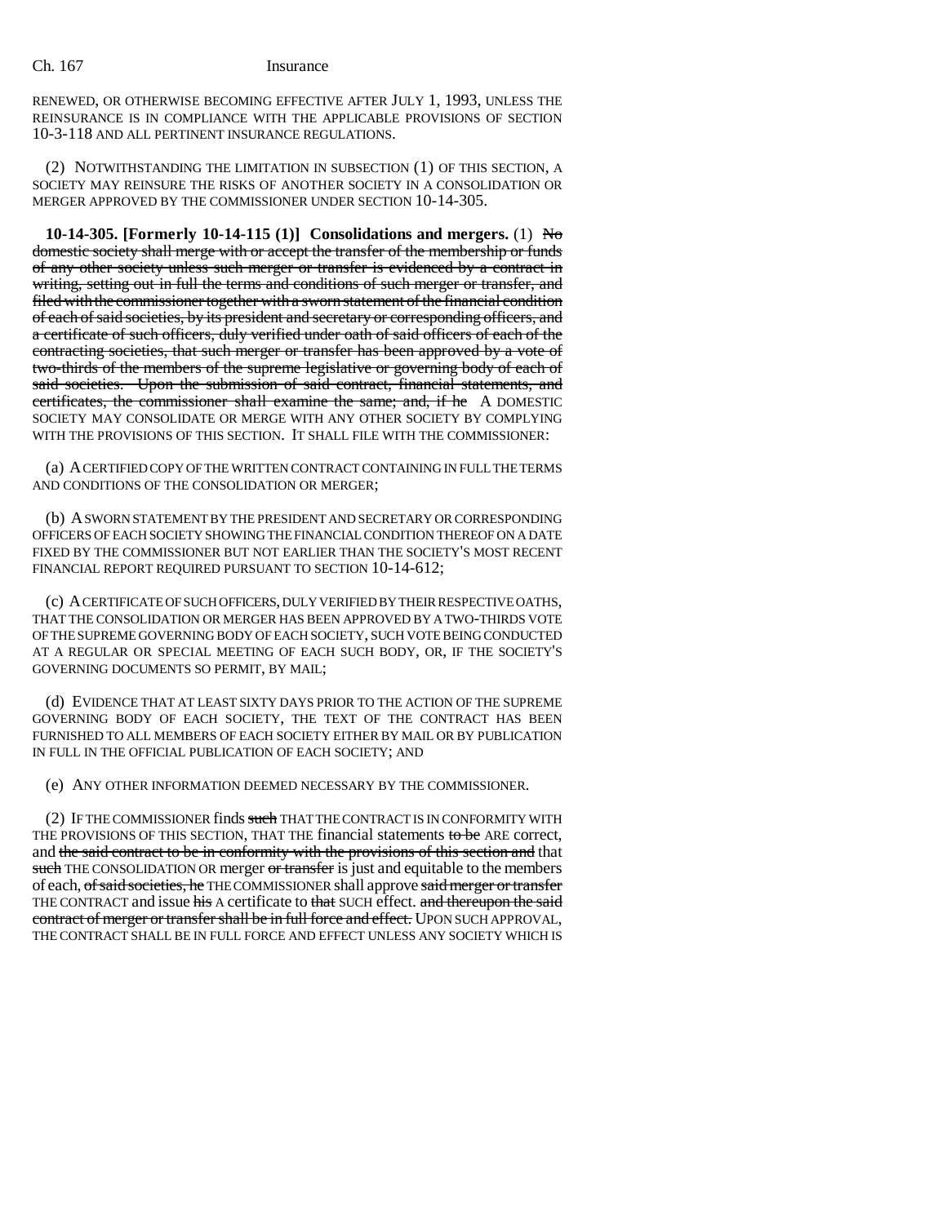RENEWED, OR OTHERWISE BECOMING EFFECTIVE AFTER JULY 1, 1993, UNLESS THE REINSURANCE IS IN COMPLIANCE WITH THE APPLICABLE PROVISIONS OF SECTION 10-3-118 AND ALL PERTINENT INSURANCE REGULATIONS.

(2) NOTWITHSTANDING THE LIMITATION IN SUBSECTION (1) OF THIS SECTION, A SOCIETY MAY REINSURE THE RISKS OF ANOTHER SOCIETY IN A CONSOLIDATION OR MERGER APPROVED BY THE COMMISSIONER UNDER SECTION 10-14-305.

**10-14-305. [Formerly 10-14-115 (1)] Consolidations and mergers.** (1) No domestic society shall merge with or accept the transfer of the membership or funds of any other society unless such merger or transfer is evidenced by a contract in writing, setting out in full the terms and conditions of such merger or transfer, and filed with the commissioner together with a sworn statement of the financial condition of each of said societies, by its president and secretary or corresponding officers, and a certificate of such officers, duly verified under oath of said officers of each of the contracting societies, that such merger or transfer has been approved by a vote of two-thirds of the members of the supreme legislative or governing body of each of said societies. Upon the submission of said contract, financial statements, and certificates, the commissioner shall examine the same; and, if he A DOMESTIC SOCIETY MAY CONSOLIDATE OR MERGE WITH ANY OTHER SOCIETY BY COMPLYING WITH THE PROVISIONS OF THIS SECTION. IT SHALL FILE WITH THE COMMISSIONER:

(a) A CERTIFIED COPY OF THE WRITTEN CONTRACT CONTAINING IN FULL THE TERMS AND CONDITIONS OF THE CONSOLIDATION OR MERGER;

(b) A SWORN STATEMENT BY THE PRESIDENT AND SECRETARY OR CORRESPONDING OFFICERS OF EACH SOCIETY SHOWING THE FINANCIAL CONDITION THEREOF ON A DATE FIXED BY THE COMMISSIONER BUT NOT EARLIER THAN THE SOCIETY'S MOST RECENT FINANCIAL REPORT REQUIRED PURSUANT TO SECTION 10-14-612;

(c) A CERTIFICATE OF SUCH OFFICERS, DULY VERIFIED BY THEIR RESPECTIVE OATHS, THAT THE CONSOLIDATION OR MERGER HAS BEEN APPROVED BY A TWO-THIRDS VOTE OF THE SUPREME GOVERNING BODY OF EACH SOCIETY, SUCH VOTE BEING CONDUCTED AT A REGULAR OR SPECIAL MEETING OF EACH SUCH BODY, OR, IF THE SOCIETY'S GOVERNING DOCUMENTS SO PERMIT, BY MAIL;

(d) EVIDENCE THAT AT LEAST SIXTY DAYS PRIOR TO THE ACTION OF THE SUPREME GOVERNING BODY OF EACH SOCIETY, THE TEXT OF THE CONTRACT HAS BEEN FURNISHED TO ALL MEMBERS OF EACH SOCIETY EITHER BY MAIL OR BY PUBLICATION IN FULL IN THE OFFICIAL PUBLICATION OF EACH SOCIETY; AND

(e) ANY OTHER INFORMATION DEEMED NECESSARY BY THE COMMISSIONER.

(2) IF THE COMMISSIONER finds such THAT THE CONTRACT IS IN CONFORMITY WITH THE PROVISIONS OF THIS SECTION, THAT THE financial statements to be ARE correct, and the said contract to be in conformity with the provisions of this section and that such THE CONSOLIDATION OR merger or transfer is just and equitable to the members of each, of said societies, he THE COMMISSIONER shall approve said merger or transfer THE CONTRACT and issue his A certificate to that SUCH effect. and thereupon the said contract of merger or transfer shall be in full force and effect. UPON SUCH APPROVAL, THE CONTRACT SHALL BE IN FULL FORCE AND EFFECT UNLESS ANY SOCIETY WHICH IS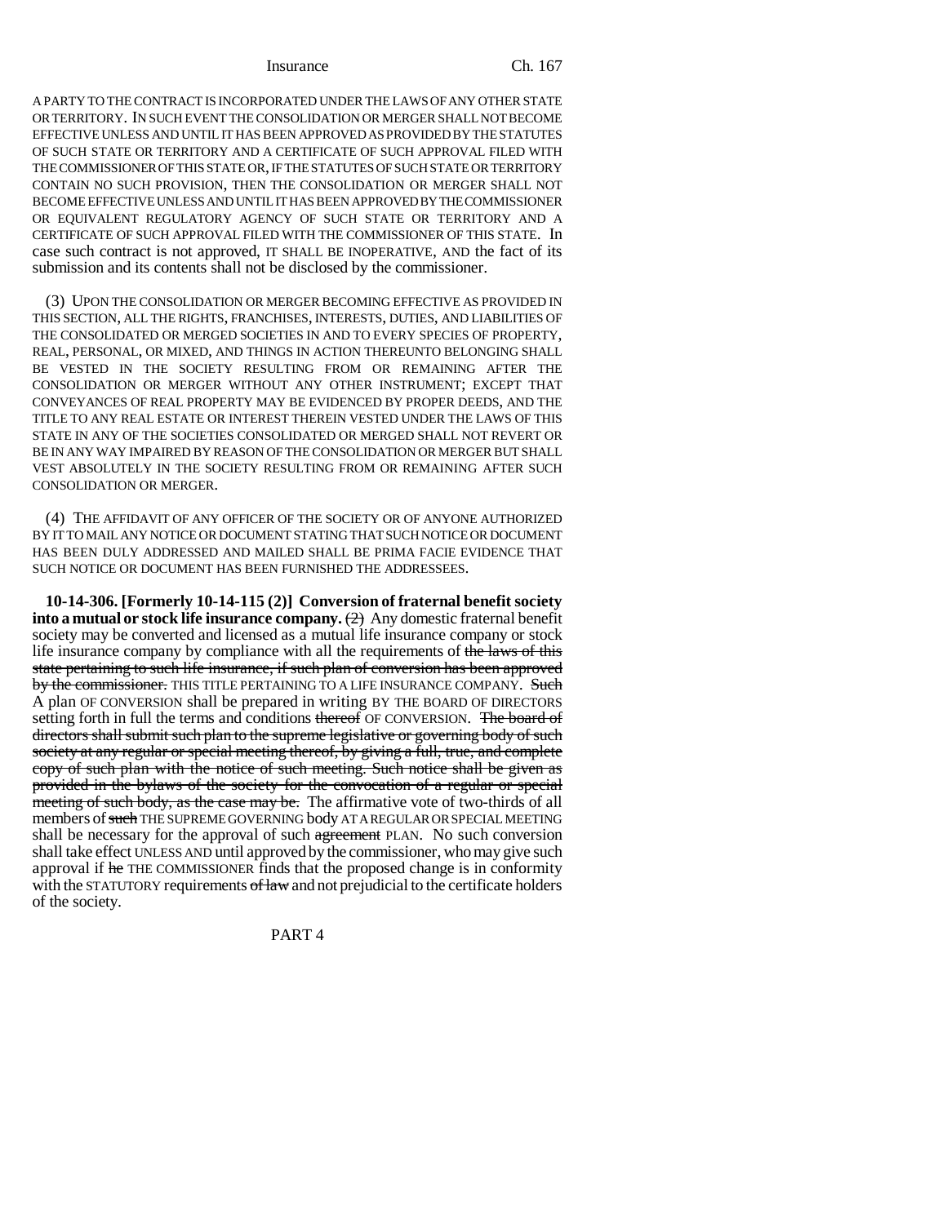A PARTY TO THE CONTRACT IS INCORPORATED UNDER THE LAWS OF ANY OTHER STATE OR TERRITORY. IN SUCH EVENT THE CONSOLIDATION OR MERGER SHALL NOT BECOME EFFECTIVE UNLESS AND UNTIL IT HAS BEEN APPROVED AS PROVIDED BY THE STATUTES OF SUCH STATE OR TERRITORY AND A CERTIFICATE OF SUCH APPROVAL FILED WITH THE COMMISSIONER OF THIS STATE OR, IF THE STATUTES OF SUCH STATE OR TERRITORY CONTAIN NO SUCH PROVISION, THEN THE CONSOLIDATION OR MERGER SHALL NOT BECOME EFFECTIVE UNLESS AND UNTIL IT HAS BEEN APPROVED BY THE COMMISSIONER OR EQUIVALENT REGULATORY AGENCY OF SUCH STATE OR TERRITORY AND A CERTIFICATE OF SUCH APPROVAL FILED WITH THE COMMISSIONER OF THIS STATE. In case such contract is not approved, IT SHALL BE INOPERATIVE, AND the fact of its submission and its contents shall not be disclosed by the commissioner.

(3) UPON THE CONSOLIDATION OR MERGER BECOMING EFFECTIVE AS PROVIDED IN THIS SECTION, ALL THE RIGHTS, FRANCHISES, INTERESTS, DUTIES, AND LIABILITIES OF THE CONSOLIDATED OR MERGED SOCIETIES IN AND TO EVERY SPECIES OF PROPERTY, REAL, PERSONAL, OR MIXED, AND THINGS IN ACTION THEREUNTO BELONGING SHALL BE VESTED IN THE SOCIETY RESULTING FROM OR REMAINING AFTER THE CONSOLIDATION OR MERGER WITHOUT ANY OTHER INSTRUMENT; EXCEPT THAT CONVEYANCES OF REAL PROPERTY MAY BE EVIDENCED BY PROPER DEEDS, AND THE TITLE TO ANY REAL ESTATE OR INTEREST THEREIN VESTED UNDER THE LAWS OF THIS STATE IN ANY OF THE SOCIETIES CONSOLIDATED OR MERGED SHALL NOT REVERT OR BE IN ANY WAY IMPAIRED BY REASON OF THE CONSOLIDATION OR MERGER BUT SHALL VEST ABSOLUTELY IN THE SOCIETY RESULTING FROM OR REMAINING AFTER SUCH CONSOLIDATION OR MERGER.

(4) THE AFFIDAVIT OF ANY OFFICER OF THE SOCIETY OR OF ANYONE AUTHORIZED BY IT TO MAIL ANY NOTICE OR DOCUMENT STATING THAT SUCH NOTICE OR DOCUMENT HAS BEEN DULY ADDRESSED AND MAILED SHALL BE PRIMA FACIE EVIDENCE THAT SUCH NOTICE OR DOCUMENT HAS BEEN FURNISHED THE ADDRESSEES.

**10-14-306. [Formerly 10-14-115 (2)] Conversion of fraternal benefit society into a mutual or stock life insurance company.** (2) Any domestic fraternal benefit society may be converted and licensed as a mutual life insurance company or stock life insurance company by compliance with all the requirements of the laws of this state pertaining to such life insurance, if such plan of conversion has been approved by the commissioner. THIS TITLE PERTAINING TO A LIFE INSURANCE COMPANY. Such A plan OF CONVERSION shall be prepared in writing BY THE BOARD OF DIRECTORS setting forth in full the terms and conditions thereof OF CONVERSION. The board of directors shall submit such plan to the supreme legislative or governing body of such society at any regular or special meeting thereof, by giving a full, true, and complete copy of such plan with the notice of such meeting. Such notice shall be given as provided in the bylaws of the society for the convocation of a regular or special meeting of such body, as the case may be. The affirmative vote of two-thirds of all members of such THE SUPREME GOVERNING body AT A REGULAR OR SPECIAL MEETING shall be necessary for the approval of such agreement PLAN. No such conversion shall take effect UNLESS AND until approved by the commissioner, who may give such approval if he THE COMMISSIONER finds that the proposed change is in conformity with the STATUTORY requirements of law and not prejudicial to the certificate holders of the society.

PART 4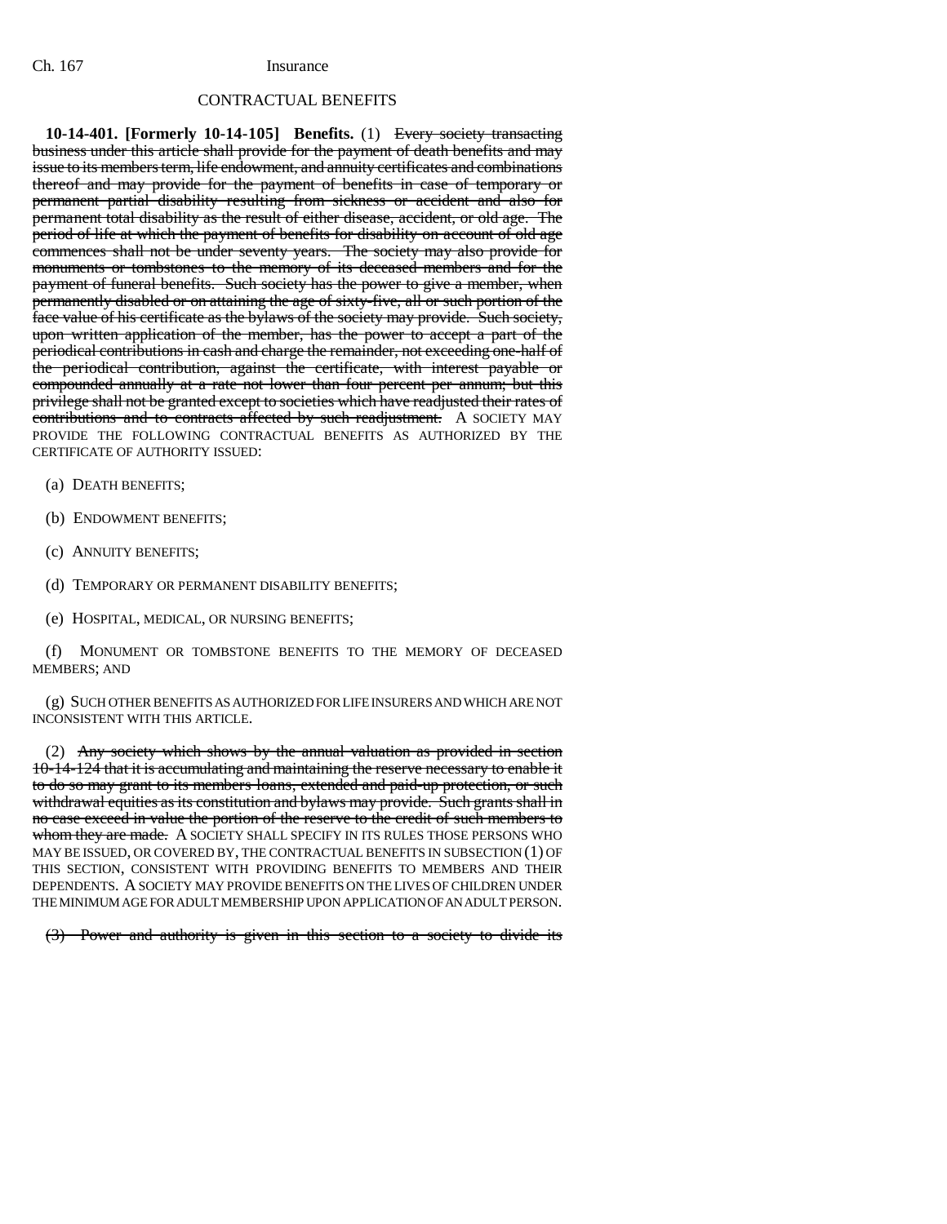## CONTRACTUAL BENEFITS

**10-14-401. [Formerly 10-14-105] Benefits.** (1) Every society transacting business under this article shall provide for the payment of death benefits and may issue to its members term, life endowment, and annuity certificates and combinations thereof and may provide for the payment of benefits in case of temporary or permanent partial disability resulting from sickness or accident and also for permanent total disability as the result of either disease, accident, or old age. The period of life at which the payment of benefits for disability on account of old age commences shall not be under seventy years. The society may also provide for monuments or tombstones to the memory of its deceased members and for the payment of funeral benefits. Such society has the power to give a member, when permanently disabled or on attaining the age of sixty-five, all or such portion of the face value of his certificate as the bylaws of the society may provide. Such society, upon written application of the member, has the power to accept a part of the periodical contributions in cash and charge the remainder, not exceeding one-half of the periodical contribution, against the certificate, with interest payable or compounded annually at a rate not lower than four percent per annum; but this privilege shall not be granted except to societies which have readjusted their rates of contributions and to contracts affected by such readjustment. A SOCIETY MAY PROVIDE THE FOLLOWING CONTRACTUAL BENEFITS AS AUTHORIZED BY THE CERTIFICATE OF AUTHORITY ISSUED:

- (a) DEATH BENEFITS;
- (b) ENDOWMENT BENEFITS;
- (c) ANNUITY BENEFITS;
- (d) TEMPORARY OR PERMANENT DISABILITY BENEFITS;
- (e) HOSPITAL, MEDICAL, OR NURSING BENEFITS;

(f) MONUMENT OR TOMBSTONE BENEFITS TO THE MEMORY OF DECEASED MEMBERS; AND

(g) SUCH OTHER BENEFITS AS AUTHORIZED FOR LIFE INSURERS AND WHICH ARE NOT INCONSISTENT WITH THIS ARTICLE.

(2) Any society which shows by the annual valuation as provided in section 10-14-124 that it is accumulating and maintaining the reserve necessary to enable it to do so may grant to its members loans, extended and paid-up protection, or such withdrawal equities as its constitution and bylaws may provide. Such grants shall in no case exceed in value the portion of the reserve to the credit of such members to whom they are made. A SOCIETY SHALL SPECIFY IN ITS RULES THOSE PERSONS WHO MAY BE ISSUED, OR COVERED BY, THE CONTRACTUAL BENEFITS IN SUBSECTION (1) OF THIS SECTION, CONSISTENT WITH PROVIDING BENEFITS TO MEMBERS AND THEIR DEPENDENTS. A SOCIETY MAY PROVIDE BENEFITS ON THE LIVES OF CHILDREN UNDER THE MINIMUM AGE FOR ADULT MEMBERSHIP UPON APPLICATION OF AN ADULT PERSON.

(3) Power and authority is given in this section to a society to divide its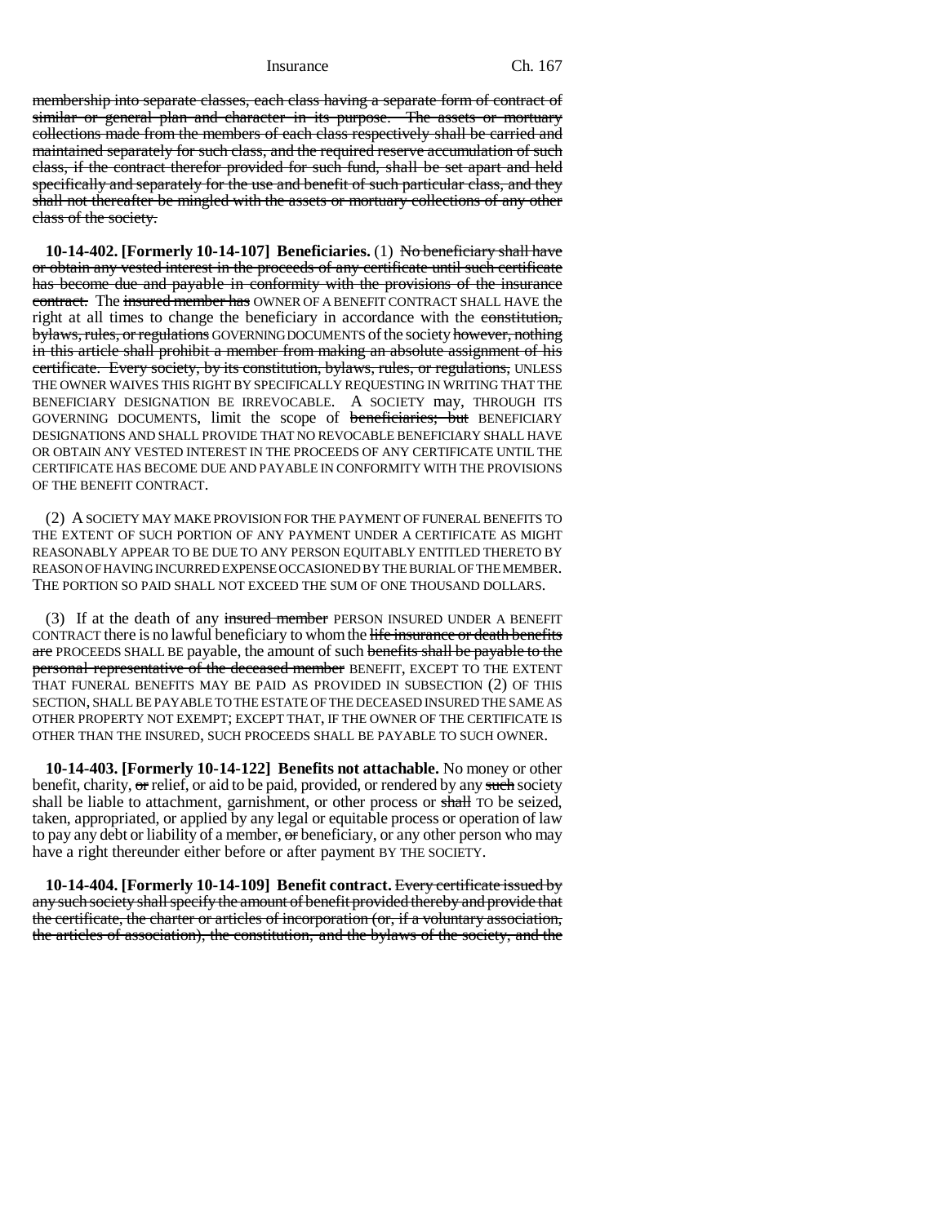membership into separate classes, each class having a separate form of contract of similar or general plan and character in its purpose. The assets or mortuary collections made from the members of each class respectively shall be carried and maintained separately for such class, and the required reserve accumulation of such class, if the contract therefor provided for such fund, shall be set apart and held specifically and separately for the use and benefit of such particular class, and they shall not thereafter be mingled with the assets or mortuary collections of any other class of the society.

**10-14-402. [Formerly 10-14-107] Beneficiaries.** (1) No beneficiary shall have or obtain any vested interest in the proceeds of any certificate until such certificate has become due and payable in conformity with the provisions of the insurance contract. The insured member has OWNER OF A BENEFIT CONTRACT SHALL HAVE the right at all times to change the beneficiary in accordance with the constitution, bylaws, rules, or regulations GOVERNING DOCUMENTS of the society however, nothing in this article shall prohibit a member from making an absolute assignment of his certificate. Every society, by its constitution, bylaws, rules, or regulations, UNLESS THE OWNER WAIVES THIS RIGHT BY SPECIFICALLY REQUESTING IN WRITING THAT THE BENEFICIARY DESIGNATION BE IRREVOCABLE. A SOCIETY may, THROUGH ITS GOVERNING DOCUMENTS, limit the scope of beneficiaries; but BENEFICIARY DESIGNATIONS AND SHALL PROVIDE THAT NO REVOCABLE BENEFICIARY SHALL HAVE OR OBTAIN ANY VESTED INTEREST IN THE PROCEEDS OF ANY CERTIFICATE UNTIL THE CERTIFICATE HAS BECOME DUE AND PAYABLE IN CONFORMITY WITH THE PROVISIONS OF THE BENEFIT CONTRACT.

(2) A SOCIETY MAY MAKE PROVISION FOR THE PAYMENT OF FUNERAL BENEFITS TO THE EXTENT OF SUCH PORTION OF ANY PAYMENT UNDER A CERTIFICATE AS MIGHT REASONABLY APPEAR TO BE DUE TO ANY PERSON EQUITABLY ENTITLED THERETO BY REASON OF HAVING INCURRED EXPENSE OCCASIONED BY THE BURIAL OF THE MEMBER. THE PORTION SO PAID SHALL NOT EXCEED THE SUM OF ONE THOUSAND DOLLARS.

(3) If at the death of any insured member PERSON INSURED UNDER A BENEFIT CONTRACT there is no lawful beneficiary to whom the life insurance or death benefits are PROCEEDS SHALL BE payable, the amount of such benefits shall be payable to the personal representative of the deceased member BENEFIT, EXCEPT TO THE EXTENT THAT FUNERAL BENEFITS MAY BE PAID AS PROVIDED IN SUBSECTION (2) OF THIS SECTION, SHALL BE PAYABLE TO THE ESTATE OF THE DECEASED INSURED THE SAME AS OTHER PROPERTY NOT EXEMPT; EXCEPT THAT, IF THE OWNER OF THE CERTIFICATE IS OTHER THAN THE INSURED, SUCH PROCEEDS SHALL BE PAYABLE TO SUCH OWNER.

**10-14-403. [Formerly 10-14-122] Benefits not attachable.** No money or other benefit, charity,  $\sigma r$  relief, or aid to be paid, provided, or rendered by any such society shall be liable to attachment, garnishment, or other process or shall TO be seized, taken, appropriated, or applied by any legal or equitable process or operation of law to pay any debt or liability of a member, or beneficiary, or any other person who may have a right thereunder either before or after payment BY THE SOCIETY.

**10-14-404. [Formerly 10-14-109] Benefit contract.** Every certificate issued by any such society shall specify the amount of benefit provided thereby and provide that the certificate, the charter or articles of incorporation (or, if a voluntary association, the articles of association), the constitution, and the bylaws of the society, and the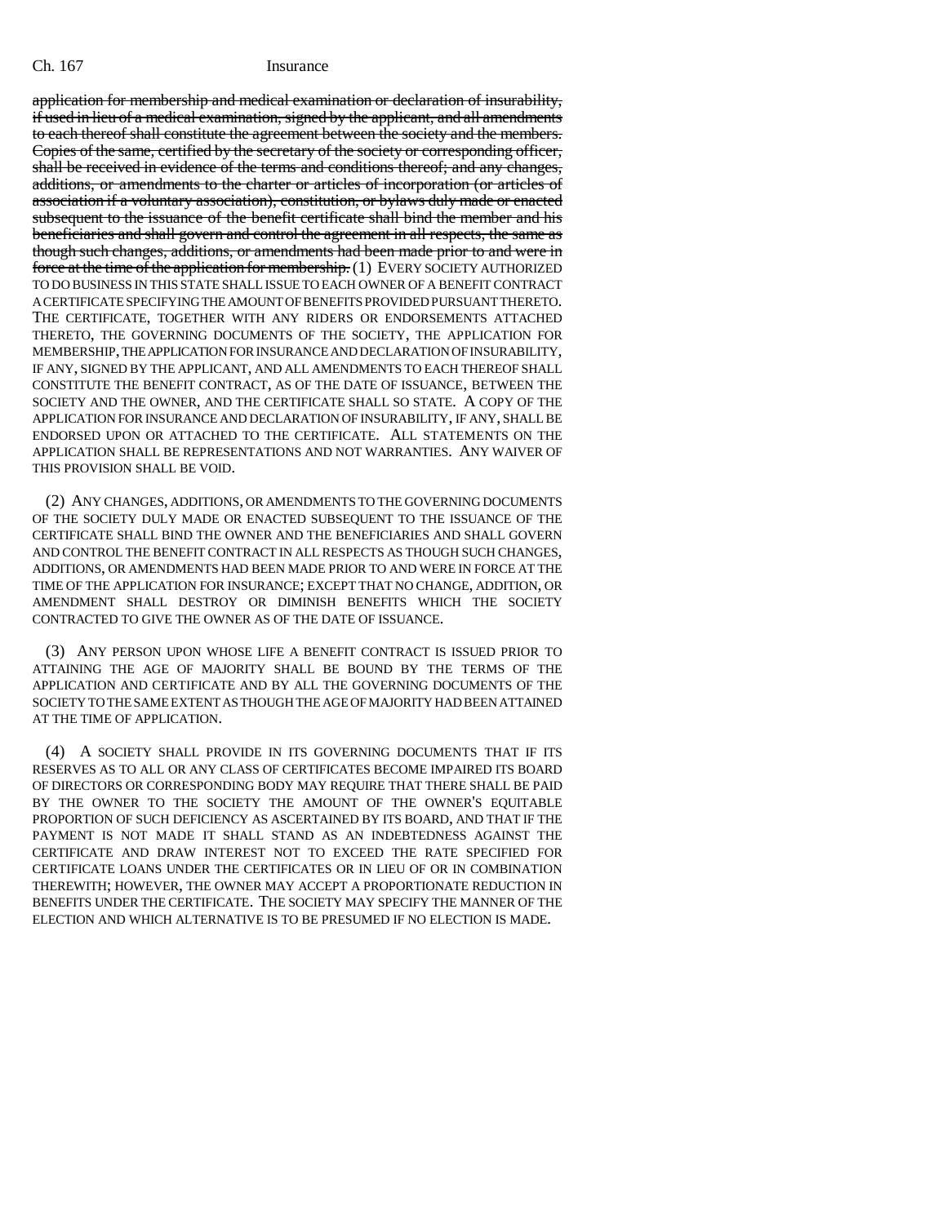application for membership and medical examination or declaration of insurability, if used in lieu of a medical examination, signed by the applicant, and all amendments to each thereof shall constitute the agreement between the society and the members. Copies of the same, certified by the secretary of the society or corresponding officer, shall be received in evidence of the terms and conditions thereof; and any changes, additions, or amendments to the charter or articles of incorporation (or articles of association if a voluntary association), constitution, or bylaws duly made or enacted subsequent to the issuance of the benefit certificate shall bind the member and his beneficiaries and shall govern and control the agreement in all respects, the same as though such changes, additions, or amendments had been made prior to and were in force at the time of the application for membership. (1) EVERY SOCIETY AUTHORIZED TO DO BUSINESS IN THIS STATE SHALL ISSUE TO EACH OWNER OF A BENEFIT CONTRACT A CERTIFICATE SPECIFYING THE AMOUNT OF BENEFITS PROVIDED PURSUANT THERETO. THE CERTIFICATE, TOGETHER WITH ANY RIDERS OR ENDORSEMENTS ATTACHED THERETO, THE GOVERNING DOCUMENTS OF THE SOCIETY, THE APPLICATION FOR MEMBERSHIP, THE APPLICATION FOR INSURANCE AND DECLARATION OF INSURABILITY, IF ANY, SIGNED BY THE APPLICANT, AND ALL AMENDMENTS TO EACH THEREOF SHALL CONSTITUTE THE BENEFIT CONTRACT, AS OF THE DATE OF ISSUANCE, BETWEEN THE SOCIETY AND THE OWNER, AND THE CERTIFICATE SHALL SO STATE. A COPY OF THE APPLICATION FOR INSURANCE AND DECLARATION OF INSURABILITY, IF ANY, SHALL BE ENDORSED UPON OR ATTACHED TO THE CERTIFICATE. ALL STATEMENTS ON THE APPLICATION SHALL BE REPRESENTATIONS AND NOT WARRANTIES. ANY WAIVER OF THIS PROVISION SHALL BE VOID.

(2) ANY CHANGES, ADDITIONS, OR AMENDMENTS TO THE GOVERNING DOCUMENTS OF THE SOCIETY DULY MADE OR ENACTED SUBSEQUENT TO THE ISSUANCE OF THE CERTIFICATE SHALL BIND THE OWNER AND THE BENEFICIARIES AND SHALL GOVERN AND CONTROL THE BENEFIT CONTRACT IN ALL RESPECTS AS THOUGH SUCH CHANGES, ADDITIONS, OR AMENDMENTS HAD BEEN MADE PRIOR TO AND WERE IN FORCE AT THE TIME OF THE APPLICATION FOR INSURANCE; EXCEPT THAT NO CHANGE, ADDITION, OR AMENDMENT SHALL DESTROY OR DIMINISH BENEFITS WHICH THE SOCIETY CONTRACTED TO GIVE THE OWNER AS OF THE DATE OF ISSUANCE.

(3) ANY PERSON UPON WHOSE LIFE A BENEFIT CONTRACT IS ISSUED PRIOR TO ATTAINING THE AGE OF MAJORITY SHALL BE BOUND BY THE TERMS OF THE APPLICATION AND CERTIFICATE AND BY ALL THE GOVERNING DOCUMENTS OF THE SOCIETY TO THE SAME EXTENT AS THOUGH THE AGE OF MAJORITY HAD BEEN ATTAINED AT THE TIME OF APPLICATION.

(4) A SOCIETY SHALL PROVIDE IN ITS GOVERNING DOCUMENTS THAT IF ITS RESERVES AS TO ALL OR ANY CLASS OF CERTIFICATES BECOME IMPAIRED ITS BOARD OF DIRECTORS OR CORRESPONDING BODY MAY REQUIRE THAT THERE SHALL BE PAID BY THE OWNER TO THE SOCIETY THE AMOUNT OF THE OWNER'S EQUITABLE PROPORTION OF SUCH DEFICIENCY AS ASCERTAINED BY ITS BOARD, AND THAT IF THE PAYMENT IS NOT MADE IT SHALL STAND AS AN INDEBTEDNESS AGAINST THE CERTIFICATE AND DRAW INTEREST NOT TO EXCEED THE RATE SPECIFIED FOR CERTIFICATE LOANS UNDER THE CERTIFICATES OR IN LIEU OF OR IN COMBINATION THEREWITH; HOWEVER, THE OWNER MAY ACCEPT A PROPORTIONATE REDUCTION IN BENEFITS UNDER THE CERTIFICATE. THE SOCIETY MAY SPECIFY THE MANNER OF THE ELECTION AND WHICH ALTERNATIVE IS TO BE PRESUMED IF NO ELECTION IS MADE.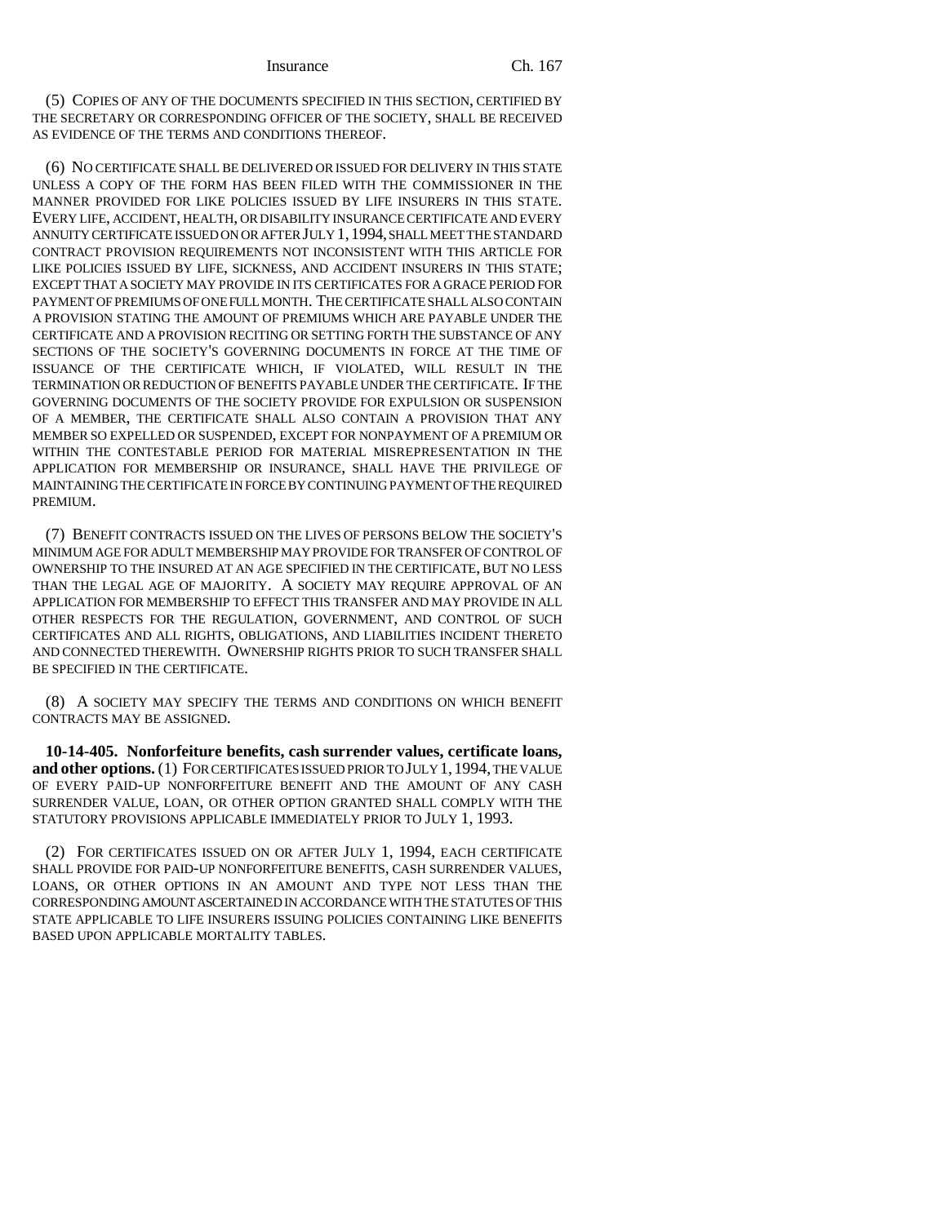(5) COPIES OF ANY OF THE DOCUMENTS SPECIFIED IN THIS SECTION, CERTIFIED BY THE SECRETARY OR CORRESPONDING OFFICER OF THE SOCIETY, SHALL BE RECEIVED AS EVIDENCE OF THE TERMS AND CONDITIONS THEREOF.

(6) NO CERTIFICATE SHALL BE DELIVERED OR ISSUED FOR DELIVERY IN THIS STATE UNLESS A COPY OF THE FORM HAS BEEN FILED WITH THE COMMISSIONER IN THE MANNER PROVIDED FOR LIKE POLICIES ISSUED BY LIFE INSURERS IN THIS STATE. EVERY LIFE, ACCIDENT, HEALTH, OR DISABILITY INSURANCE CERTIFICATE AND EVERY ANNUITY CERTIFICATE ISSUED ON OR AFTER JULY 1,1994, SHALL MEET THE STANDARD CONTRACT PROVISION REQUIREMENTS NOT INCONSISTENT WITH THIS ARTICLE FOR LIKE POLICIES ISSUED BY LIFE, SICKNESS, AND ACCIDENT INSURERS IN THIS STATE; EXCEPT THAT A SOCIETY MAY PROVIDE IN ITS CERTIFICATES FOR A GRACE PERIOD FOR PAYMENT OF PREMIUMS OF ONE FULL MONTH. THE CERTIFICATE SHALL ALSO CONTAIN A PROVISION STATING THE AMOUNT OF PREMIUMS WHICH ARE PAYABLE UNDER THE CERTIFICATE AND A PROVISION RECITING OR SETTING FORTH THE SUBSTANCE OF ANY SECTIONS OF THE SOCIETY'S GOVERNING DOCUMENTS IN FORCE AT THE TIME OF ISSUANCE OF THE CERTIFICATE WHICH, IF VIOLATED, WILL RESULT IN THE TERMINATION OR REDUCTION OF BENEFITS PAYABLE UNDER THE CERTIFICATE. IF THE GOVERNING DOCUMENTS OF THE SOCIETY PROVIDE FOR EXPULSION OR SUSPENSION OF A MEMBER, THE CERTIFICATE SHALL ALSO CONTAIN A PROVISION THAT ANY MEMBER SO EXPELLED OR SUSPENDED, EXCEPT FOR NONPAYMENT OF A PREMIUM OR WITHIN THE CONTESTABLE PERIOD FOR MATERIAL MISREPRESENTATION IN THE APPLICATION FOR MEMBERSHIP OR INSURANCE, SHALL HAVE THE PRIVILEGE OF MAINTAINING THE CERTIFICATE IN FORCE BY CONTINUING PAYMENT OF THE REQUIRED PREMIUM.

(7) BENEFIT CONTRACTS ISSUED ON THE LIVES OF PERSONS BELOW THE SOCIETY'S MINIMUM AGE FOR ADULT MEMBERSHIP MAY PROVIDE FOR TRANSFER OF CONTROL OF OWNERSHIP TO THE INSURED AT AN AGE SPECIFIED IN THE CERTIFICATE, BUT NO LESS THAN THE LEGAL AGE OF MAJORITY. A SOCIETY MAY REQUIRE APPROVAL OF AN APPLICATION FOR MEMBERSHIP TO EFFECT THIS TRANSFER AND MAY PROVIDE IN ALL OTHER RESPECTS FOR THE REGULATION, GOVERNMENT, AND CONTROL OF SUCH CERTIFICATES AND ALL RIGHTS, OBLIGATIONS, AND LIABILITIES INCIDENT THERETO AND CONNECTED THEREWITH. OWNERSHIP RIGHTS PRIOR TO SUCH TRANSFER SHALL BE SPECIFIED IN THE CERTIFICATE.

(8) A SOCIETY MAY SPECIFY THE TERMS AND CONDITIONS ON WHICH BENEFIT CONTRACTS MAY BE ASSIGNED.

**10-14-405. Nonforfeiture benefits, cash surrender values, certificate loans, and other options.** (1) FOR CERTIFICATES ISSUED PRIOR TO JULY 1,1994, THE VALUE OF EVERY PAID-UP NONFORFEITURE BENEFIT AND THE AMOUNT OF ANY CASH SURRENDER VALUE, LOAN, OR OTHER OPTION GRANTED SHALL COMPLY WITH THE STATUTORY PROVISIONS APPLICABLE IMMEDIATELY PRIOR TO JULY 1, 1993.

(2) FOR CERTIFICATES ISSUED ON OR AFTER JULY 1, 1994, EACH CERTIFICATE SHALL PROVIDE FOR PAID-UP NONFORFEITURE BENEFITS, CASH SURRENDER VALUES, LOANS, OR OTHER OPTIONS IN AN AMOUNT AND TYPE NOT LESS THAN THE CORRESPONDING AMOUNT ASCERTAINED IN ACCORDANCE WITH THE STATUTES OF THIS STATE APPLICABLE TO LIFE INSURERS ISSUING POLICIES CONTAINING LIKE BENEFITS BASED UPON APPLICABLE MORTALITY TABLES.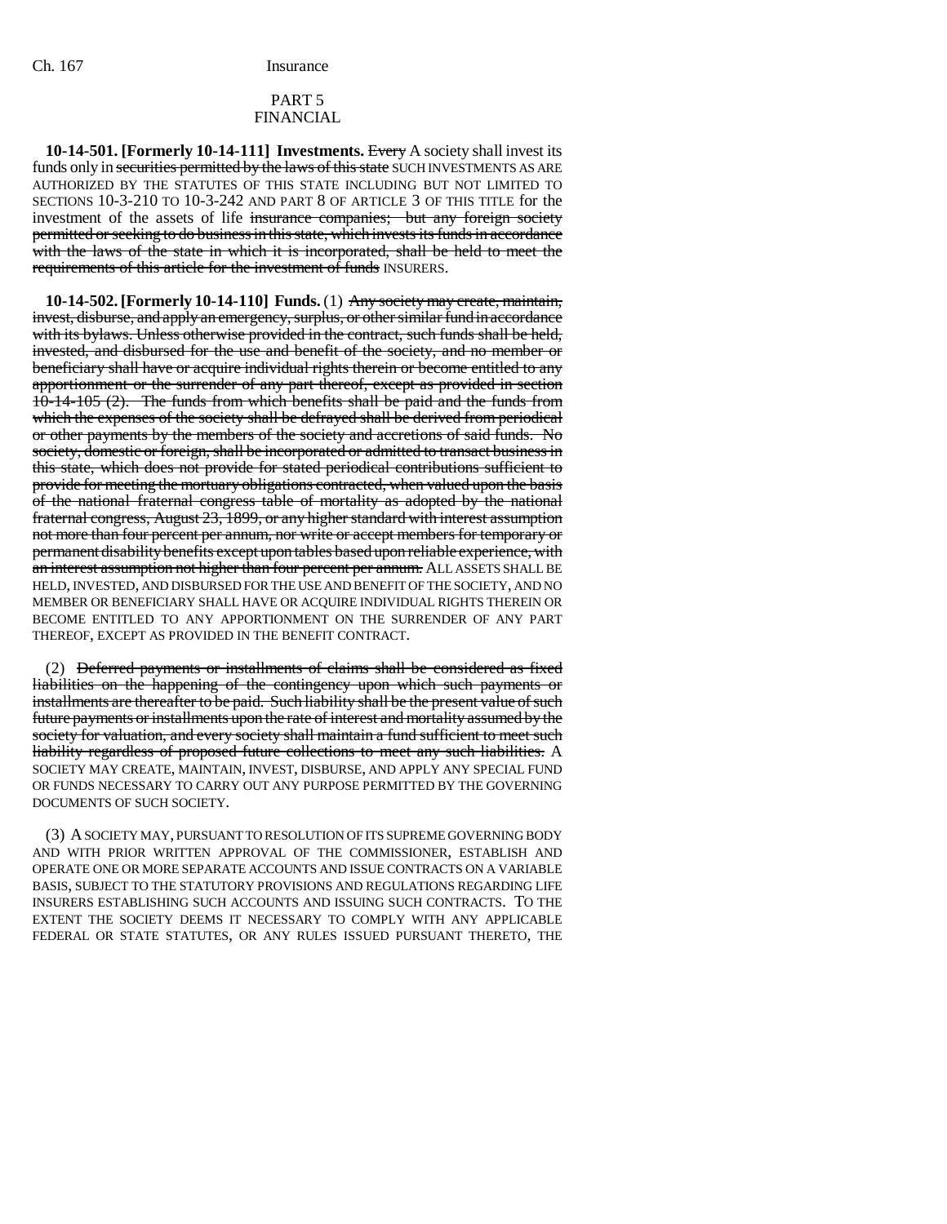### PART 5 FINANCIAL

**10-14-501. [Formerly 10-14-111] Investments.** Every A society shall invest its funds only in securities permitted by the laws of this state SUCH INVESTMENTS AS ARE AUTHORIZED BY THE STATUTES OF THIS STATE INCLUDING BUT NOT LIMITED TO SECTIONS 10-3-210 TO 10-3-242 AND PART 8 OF ARTICLE 3 OF THIS TITLE for the investment of the assets of life insurance companies; but any foreign society permitted or seeking to do business in this state, which invests its funds in accordance with the laws of the state in which it is incorporated, shall be held to meet the requirements of this article for the investment of funds INSURERS.

**10-14-502. [Formerly 10-14-110] Funds.** (1) Any society may create, maintain, invest, disburse, and apply an emergency, surplus, or other similar fund in accordance with its bylaws. Unless otherwise provided in the contract, such funds shall be held, invested, and disbursed for the use and benefit of the society, and no member or beneficiary shall have or acquire individual rights therein or become entitled to any apportionment or the surrender of any part thereof, except as provided in section 10-14-105 (2). The funds from which benefits shall be paid and the funds from which the expenses of the society shall be defrayed shall be derived from periodical or other payments by the members of the society and accretions of said funds. No society, domestic or foreign, shall be incorporated or admitted to transact business in this state, which does not provide for stated periodical contributions sufficient to provide for meeting the mortuary obligations contracted, when valued upon the basis of the national fraternal congress table of mortality as adopted by the national fraternal congress, August 23, 1899, or any higher standard with interest assumption not more than four percent per annum, nor write or accept members for temporary or permanent disability benefits except upon tables based upon reliable experience, with an interest assumption not higher than four percent per annum. ALL ASSETS SHALL BE HELD, INVESTED, AND DISBURSED FOR THE USE AND BENEFIT OF THE SOCIETY, AND NO MEMBER OR BENEFICIARY SHALL HAVE OR ACQUIRE INDIVIDUAL RIGHTS THEREIN OR BECOME ENTITLED TO ANY APPORTIONMENT ON THE SURRENDER OF ANY PART THEREOF, EXCEPT AS PROVIDED IN THE BENEFIT CONTRACT.

(2) Deferred payments or installments of claims shall be considered as fixed liabilities on the happening of the contingency upon which such payments or installments are thereafter to be paid. Such liability shall be the present value of such future payments or installments upon the rate of interest and mortality assumed by the society for valuation, and every society shall maintain a fund sufficient to meet such liability regardless of proposed future collections to meet any such liabilities. A SOCIETY MAY CREATE, MAINTAIN, INVEST, DISBURSE, AND APPLY ANY SPECIAL FUND OR FUNDS NECESSARY TO CARRY OUT ANY PURPOSE PERMITTED BY THE GOVERNING DOCUMENTS OF SUCH SOCIETY.

(3) A SOCIETY MAY, PURSUANT TO RESOLUTION OF ITS SUPREME GOVERNING BODY AND WITH PRIOR WRITTEN APPROVAL OF THE COMMISSIONER, ESTABLISH AND OPERATE ONE OR MORE SEPARATE ACCOUNTS AND ISSUE CONTRACTS ON A VARIABLE BASIS, SUBJECT TO THE STATUTORY PROVISIONS AND REGULATIONS REGARDING LIFE INSURERS ESTABLISHING SUCH ACCOUNTS AND ISSUING SUCH CONTRACTS. TO THE EXTENT THE SOCIETY DEEMS IT NECESSARY TO COMPLY WITH ANY APPLICABLE FEDERAL OR STATE STATUTES, OR ANY RULES ISSUED PURSUANT THERETO, THE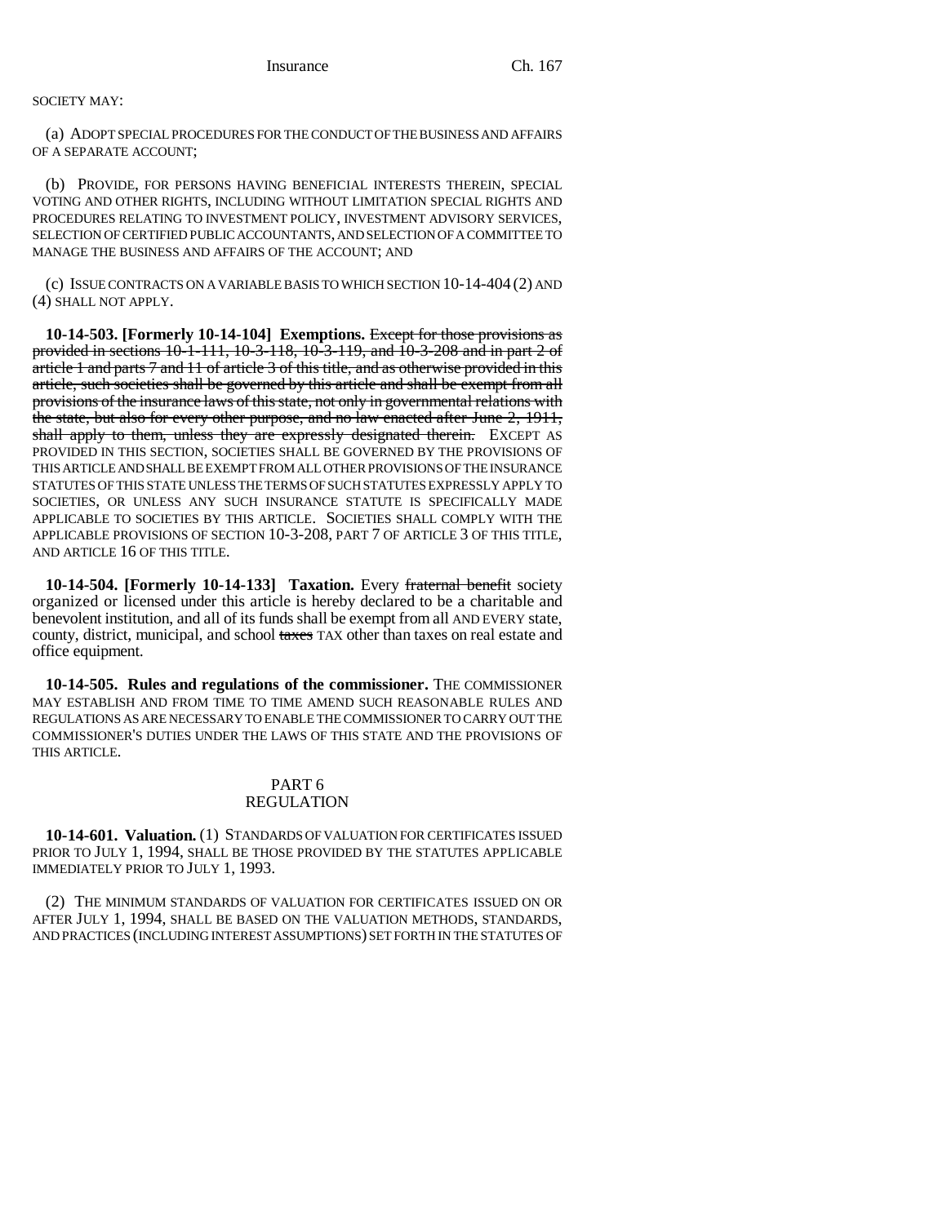### SOCIETY MAY:

(a) ADOPT SPECIAL PROCEDURES FOR THE CONDUCT OF THE BUSINESS AND AFFAIRS OF A SEPARATE ACCOUNT;

(b) PROVIDE, FOR PERSONS HAVING BENEFICIAL INTERESTS THEREIN, SPECIAL VOTING AND OTHER RIGHTS, INCLUDING WITHOUT LIMITATION SPECIAL RIGHTS AND PROCEDURES RELATING TO INVESTMENT POLICY, INVESTMENT ADVISORY SERVICES, SELECTION OF CERTIFIED PUBLIC ACCOUNTANTS, AND SELECTION OF A COMMITTEE TO MANAGE THE BUSINESS AND AFFAIRS OF THE ACCOUNT; AND

(c) ISSUE CONTRACTS ON A VARIABLE BASIS TO WHICH SECTION 10-14-404 (2) AND (4) SHALL NOT APPLY.

**10-14-503. [Formerly 10-14-104] Exemptions.** Except for those provisions as provided in sections 10-1-111, 10-3-118, 10-3-119, and 10-3-208 and in part 2 of article 1 and parts 7 and 11 of article 3 of this title, and as otherwise provided in this article, such societies shall be governed by this article and shall be exempt from all provisions of the insurance laws of this state, not only in governmental relations with the state, but also for every other purpose, and no law enacted after June 2, 1911, shall apply to them, unless they are expressly designated therein. EXCEPT AS PROVIDED IN THIS SECTION, SOCIETIES SHALL BE GOVERNED BY THE PROVISIONS OF THIS ARTICLE AND SHALL BE EXEMPT FROM ALL OTHER PROVISIONS OF THE INSURANCE STATUTES OF THIS STATE UNLESS THE TERMS OF SUCH STATUTES EXPRESSLY APPLY TO SOCIETIES, OR UNLESS ANY SUCH INSURANCE STATUTE IS SPECIFICALLY MADE APPLICABLE TO SOCIETIES BY THIS ARTICLE. SOCIETIES SHALL COMPLY WITH THE APPLICABLE PROVISIONS OF SECTION 10-3-208, PART 7 OF ARTICLE 3 OF THIS TITLE, AND ARTICLE 16 OF THIS TITLE.

**10-14-504. [Formerly 10-14-133] Taxation.** Every fraternal benefit society organized or licensed under this article is hereby declared to be a charitable and benevolent institution, and all of its funds shall be exempt from all AND EVERY state, county, district, municipal, and school taxes TAX other than taxes on real estate and office equipment.

**10-14-505. Rules and regulations of the commissioner.** THE COMMISSIONER MAY ESTABLISH AND FROM TIME TO TIME AMEND SUCH REASONABLE RULES AND REGULATIONS AS ARE NECESSARY TO ENABLE THE COMMISSIONER TO CARRY OUT THE COMMISSIONER'S DUTIES UNDER THE LAWS OF THIS STATE AND THE PROVISIONS OF THIS ARTICLE.

### PART 6 REGULATION

**10-14-601. Valuation.** (1) STANDARDS OF VALUATION FOR CERTIFICATES ISSUED PRIOR TO JULY 1, 1994, SHALL BE THOSE PROVIDED BY THE STATUTES APPLICABLE IMMEDIATELY PRIOR TO JULY 1, 1993.

(2) THE MINIMUM STANDARDS OF VALUATION FOR CERTIFICATES ISSUED ON OR AFTER JULY 1, 1994, SHALL BE BASED ON THE VALUATION METHODS, STANDARDS, AND PRACTICES (INCLUDING INTEREST ASSUMPTIONS) SET FORTH IN THE STATUTES OF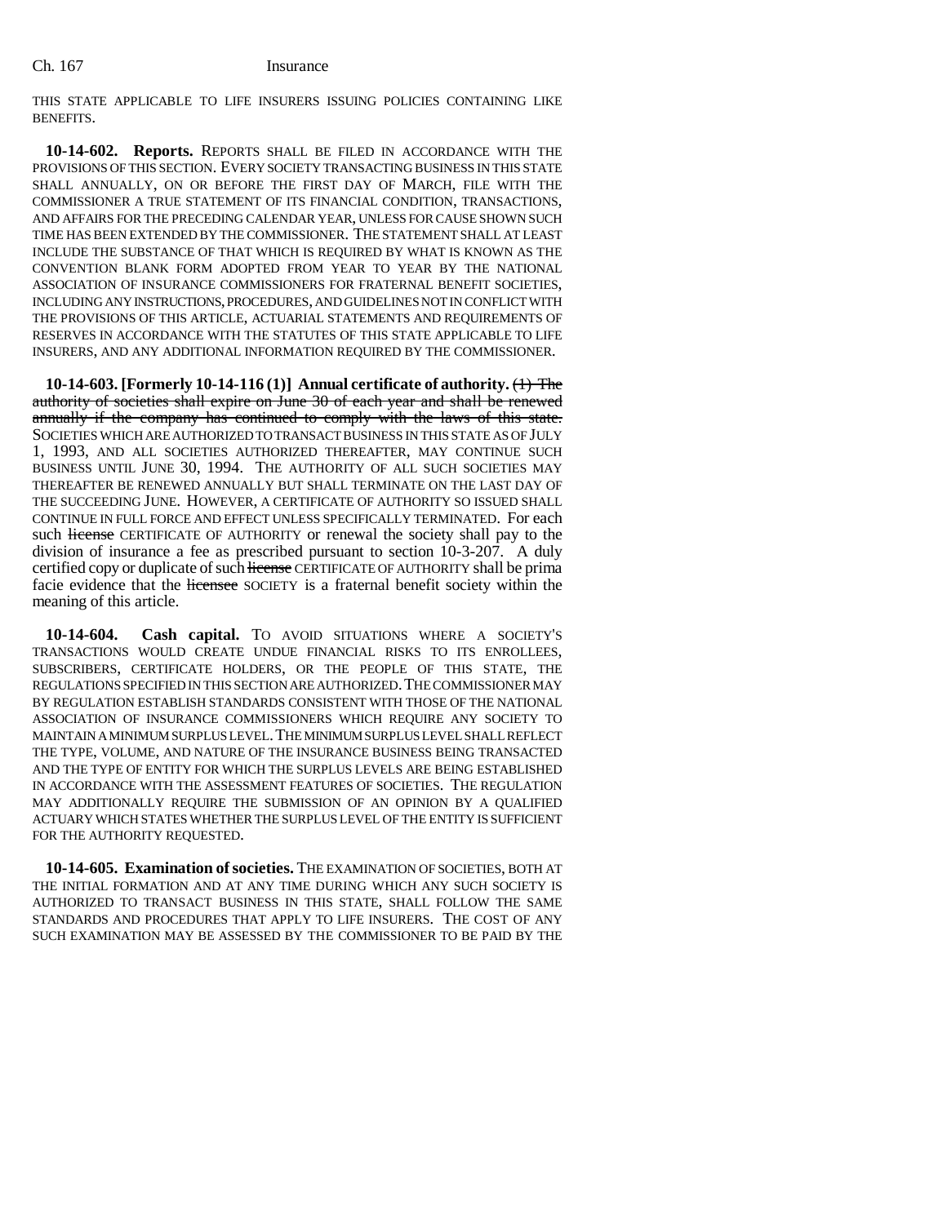THIS STATE APPLICABLE TO LIFE INSURERS ISSUING POLICIES CONTAINING LIKE BENEFITS.

**10-14-602. Reports.** REPORTS SHALL BE FILED IN ACCORDANCE WITH THE PROVISIONS OF THIS SECTION. EVERY SOCIETY TRANSACTING BUSINESS IN THIS STATE SHALL ANNUALLY, ON OR BEFORE THE FIRST DAY OF MARCH, FILE WITH THE COMMISSIONER A TRUE STATEMENT OF ITS FINANCIAL CONDITION, TRANSACTIONS, AND AFFAIRS FOR THE PRECEDING CALENDAR YEAR, UNLESS FOR CAUSE SHOWN SUCH TIME HAS BEEN EXTENDED BY THE COMMISSIONER. THE STATEMENT SHALL AT LEAST INCLUDE THE SUBSTANCE OF THAT WHICH IS REQUIRED BY WHAT IS KNOWN AS THE CONVENTION BLANK FORM ADOPTED FROM YEAR TO YEAR BY THE NATIONAL ASSOCIATION OF INSURANCE COMMISSIONERS FOR FRATERNAL BENEFIT SOCIETIES, INCLUDING ANY INSTRUCTIONS, PROCEDURES, AND GUIDELINES NOT IN CONFLICT WITH THE PROVISIONS OF THIS ARTICLE, ACTUARIAL STATEMENTS AND REQUIREMENTS OF RESERVES IN ACCORDANCE WITH THE STATUTES OF THIS STATE APPLICABLE TO LIFE INSURERS, AND ANY ADDITIONAL INFORMATION REQUIRED BY THE COMMISSIONER.

**10-14-603. [Formerly 10-14-116 (1)] Annual certificate of authority.** (1) The authority of societies shall expire on June 30 of each year and shall be renewed annually if the company has continued to comply with the laws of this state. SOCIETIES WHICH ARE AUTHORIZED TO TRANSACT BUSINESS IN THIS STATE AS OF JULY 1, 1993, AND ALL SOCIETIES AUTHORIZED THEREAFTER, MAY CONTINUE SUCH BUSINESS UNTIL JUNE 30, 1994. THE AUTHORITY OF ALL SUCH SOCIETIES MAY THEREAFTER BE RENEWED ANNUALLY BUT SHALL TERMINATE ON THE LAST DAY OF THE SUCCEEDING JUNE. HOWEVER, A CERTIFICATE OF AUTHORITY SO ISSUED SHALL CONTINUE IN FULL FORCE AND EFFECT UNLESS SPECIFICALLY TERMINATED. For each such license CERTIFICATE OF AUTHORITY or renewal the society shall pay to the division of insurance a fee as prescribed pursuant to section 10-3-207. A duly certified copy or duplicate of such license CERTIFICATE OF AUTHORITY shall be prima facie evidence that the licensee SOCIETY is a fraternal benefit society within the meaning of this article.

**10-14-604. Cash capital.** TO AVOID SITUATIONS WHERE A SOCIETY'S TRANSACTIONS WOULD CREATE UNDUE FINANCIAL RISKS TO ITS ENROLLEES, SUBSCRIBERS, CERTIFICATE HOLDERS, OR THE PEOPLE OF THIS STATE, THE REGULATIONS SPECIFIED IN THIS SECTION ARE AUTHORIZED.THE COMMISSIONER MAY BY REGULATION ESTABLISH STANDARDS CONSISTENT WITH THOSE OF THE NATIONAL ASSOCIATION OF INSURANCE COMMISSIONERS WHICH REQUIRE ANY SOCIETY TO MAINTAIN A MINIMUM SURPLUS LEVEL.THE MINIMUM SURPLUS LEVEL SHALL REFLECT THE TYPE, VOLUME, AND NATURE OF THE INSURANCE BUSINESS BEING TRANSACTED AND THE TYPE OF ENTITY FOR WHICH THE SURPLUS LEVELS ARE BEING ESTABLISHED IN ACCORDANCE WITH THE ASSESSMENT FEATURES OF SOCIETIES. THE REGULATION MAY ADDITIONALLY REQUIRE THE SUBMISSION OF AN OPINION BY A QUALIFIED ACTUARY WHICH STATES WHETHER THE SURPLUS LEVEL OF THE ENTITY IS SUFFICIENT FOR THE AUTHORITY REQUESTED.

**10-14-605. Examination of societies.** THE EXAMINATION OF SOCIETIES, BOTH AT THE INITIAL FORMATION AND AT ANY TIME DURING WHICH ANY SUCH SOCIETY IS AUTHORIZED TO TRANSACT BUSINESS IN THIS STATE, SHALL FOLLOW THE SAME STANDARDS AND PROCEDURES THAT APPLY TO LIFE INSURERS. THE COST OF ANY SUCH EXAMINATION MAY BE ASSESSED BY THE COMMISSIONER TO BE PAID BY THE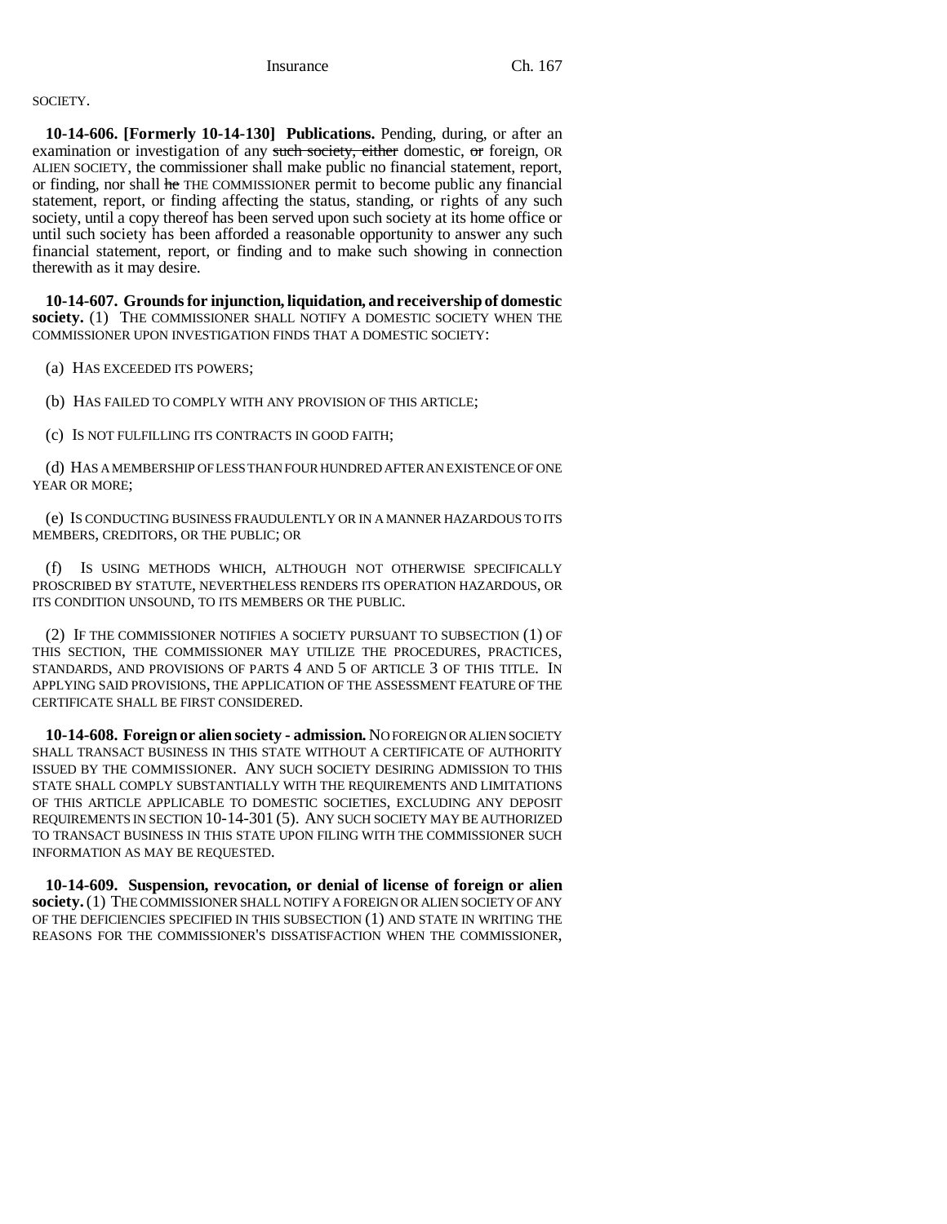SOCIETY.

**10-14-606. [Formerly 10-14-130] Publications.** Pending, during, or after an examination or investigation of any such society, either domestic, or foreign, OR ALIEN SOCIETY, the commissioner shall make public no financial statement, report, or finding, nor shall he THE COMMISSIONER permit to become public any financial statement, report, or finding affecting the status, standing, or rights of any such society, until a copy thereof has been served upon such society at its home office or until such society has been afforded a reasonable opportunity to answer any such financial statement, report, or finding and to make such showing in connection therewith as it may desire.

**10-14-607. Grounds for injunction, liquidation, and receivership of domestic society.** (1) THE COMMISSIONER SHALL NOTIFY A DOMESTIC SOCIETY WHEN THE COMMISSIONER UPON INVESTIGATION FINDS THAT A DOMESTIC SOCIETY:

(a) HAS EXCEEDED ITS POWERS;

(b) HAS FAILED TO COMPLY WITH ANY PROVISION OF THIS ARTICLE;

(c) IS NOT FULFILLING ITS CONTRACTS IN GOOD FAITH;

(d) HAS A MEMBERSHIP OF LESS THAN FOUR HUNDRED AFTER AN EXISTENCE OF ONE YEAR OR MORE;

(e) IS CONDUCTING BUSINESS FRAUDULENTLY OR IN A MANNER HAZARDOUS TO ITS MEMBERS, CREDITORS, OR THE PUBLIC; OR

(f) IS USING METHODS WHICH, ALTHOUGH NOT OTHERWISE SPECIFICALLY PROSCRIBED BY STATUTE, NEVERTHELESS RENDERS ITS OPERATION HAZARDOUS, OR ITS CONDITION UNSOUND, TO ITS MEMBERS OR THE PUBLIC.

(2) IF THE COMMISSIONER NOTIFIES A SOCIETY PURSUANT TO SUBSECTION (1) OF THIS SECTION, THE COMMISSIONER MAY UTILIZE THE PROCEDURES, PRACTICES, STANDARDS, AND PROVISIONS OF PARTS 4 AND 5 OF ARTICLE 3 OF THIS TITLE. IN APPLYING SAID PROVISIONS, THE APPLICATION OF THE ASSESSMENT FEATURE OF THE CERTIFICATE SHALL BE FIRST CONSIDERED.

**10-14-608. Foreign or alien society - admission.** NO FOREIGN OR ALIEN SOCIETY SHALL TRANSACT BUSINESS IN THIS STATE WITHOUT A CERTIFICATE OF AUTHORITY ISSUED BY THE COMMISSIONER. ANY SUCH SOCIETY DESIRING ADMISSION TO THIS STATE SHALL COMPLY SUBSTANTIALLY WITH THE REQUIREMENTS AND LIMITATIONS OF THIS ARTICLE APPLICABLE TO DOMESTIC SOCIETIES, EXCLUDING ANY DEPOSIT REQUIREMENTS IN SECTION 10-14-301 (5). ANY SUCH SOCIETY MAY BE AUTHORIZED TO TRANSACT BUSINESS IN THIS STATE UPON FILING WITH THE COMMISSIONER SUCH INFORMATION AS MAY BE REQUESTED.

**10-14-609. Suspension, revocation, or denial of license of foreign or alien society.** (1) THE COMMISSIONER SHALL NOTIFY A FOREIGN OR ALIEN SOCIETY OF ANY OF THE DEFICIENCIES SPECIFIED IN THIS SUBSECTION (1) AND STATE IN WRITING THE REASONS FOR THE COMMISSIONER'S DISSATISFACTION WHEN THE COMMISSIONER,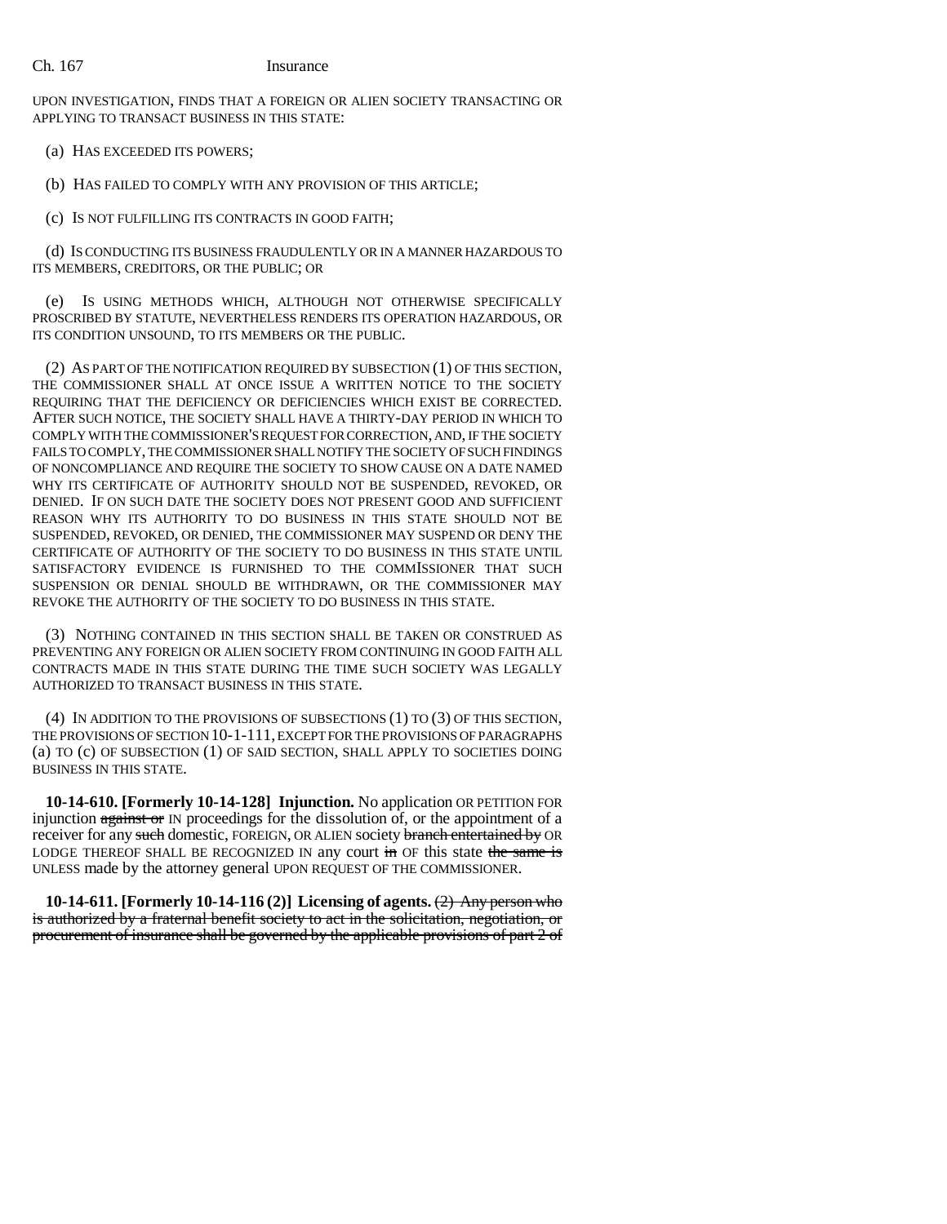UPON INVESTIGATION, FINDS THAT A FOREIGN OR ALIEN SOCIETY TRANSACTING OR APPLYING TO TRANSACT BUSINESS IN THIS STATE:

(a) HAS EXCEEDED ITS POWERS;

(b) HAS FAILED TO COMPLY WITH ANY PROVISION OF THIS ARTICLE;

(c) IS NOT FULFILLING ITS CONTRACTS IN GOOD FAITH;

(d) IS CONDUCTING ITS BUSINESS FRAUDULENTLY OR IN A MANNER HAZARDOUS TO ITS MEMBERS, CREDITORS, OR THE PUBLIC; OR

(e) IS USING METHODS WHICH, ALTHOUGH NOT OTHERWISE SPECIFICALLY PROSCRIBED BY STATUTE, NEVERTHELESS RENDERS ITS OPERATION HAZARDOUS, OR ITS CONDITION UNSOUND, TO ITS MEMBERS OR THE PUBLIC.

(2) AS PART OF THE NOTIFICATION REQUIRED BY SUBSECTION (1) OF THIS SECTION, THE COMMISSIONER SHALL AT ONCE ISSUE A WRITTEN NOTICE TO THE SOCIETY REQUIRING THAT THE DEFICIENCY OR DEFICIENCIES WHICH EXIST BE CORRECTED. AFTER SUCH NOTICE, THE SOCIETY SHALL HAVE A THIRTY-DAY PERIOD IN WHICH TO COMPLY WITH THE COMMISSIONER'S REQUEST FOR CORRECTION, AND, IF THE SOCIETY FAILS TO COMPLY, THE COMMISSIONER SHALL NOTIFY THE SOCIETY OF SUCH FINDINGS OF NONCOMPLIANCE AND REQUIRE THE SOCIETY TO SHOW CAUSE ON A DATE NAMED WHY ITS CERTIFICATE OF AUTHORITY SHOULD NOT BE SUSPENDED, REVOKED, OR DENIED. IF ON SUCH DATE THE SOCIETY DOES NOT PRESENT GOOD AND SUFFICIENT REASON WHY ITS AUTHORITY TO DO BUSINESS IN THIS STATE SHOULD NOT BE SUSPENDED, REVOKED, OR DENIED, THE COMMISSIONER MAY SUSPEND OR DENY THE CERTIFICATE OF AUTHORITY OF THE SOCIETY TO DO BUSINESS IN THIS STATE UNTIL SATISFACTORY EVIDENCE IS FURNISHED TO THE COMMISSIONER THAT SUCH SUSPENSION OR DENIAL SHOULD BE WITHDRAWN, OR THE COMMISSIONER MAY REVOKE THE AUTHORITY OF THE SOCIETY TO DO BUSINESS IN THIS STATE.

(3) NOTHING CONTAINED IN THIS SECTION SHALL BE TAKEN OR CONSTRUED AS PREVENTING ANY FOREIGN OR ALIEN SOCIETY FROM CONTINUING IN GOOD FAITH ALL CONTRACTS MADE IN THIS STATE DURING THE TIME SUCH SOCIETY WAS LEGALLY AUTHORIZED TO TRANSACT BUSINESS IN THIS STATE.

(4) IN ADDITION TO THE PROVISIONS OF SUBSECTIONS (1) TO (3) OF THIS SECTION, THE PROVISIONS OF SECTION 10-1-111, EXCEPT FOR THE PROVISIONS OF PARAGRAPHS (a) TO (c) OF SUBSECTION (1) OF SAID SECTION, SHALL APPLY TO SOCIETIES DOING BUSINESS IN THIS STATE.

**10-14-610. [Formerly 10-14-128] Injunction.** No application OR PETITION FOR injunction against or IN proceedings for the dissolution of, or the appointment of a receiver for any such domestic, FOREIGN, OR ALIEN society branch entertained by OR LODGE THEREOF SHALL BE RECOGNIZED IN any court in OF this state the same is UNLESS made by the attorney general UPON REQUEST OF THE COMMISSIONER.

**10-14-611. [Formerly 10-14-116 (2)] Licensing of agents.** (2) Any person who is authorized by a fraternal benefit society to act in the solicitation, negotiation, or procurement of insurance shall be governed by the applicable provisions of part 2 of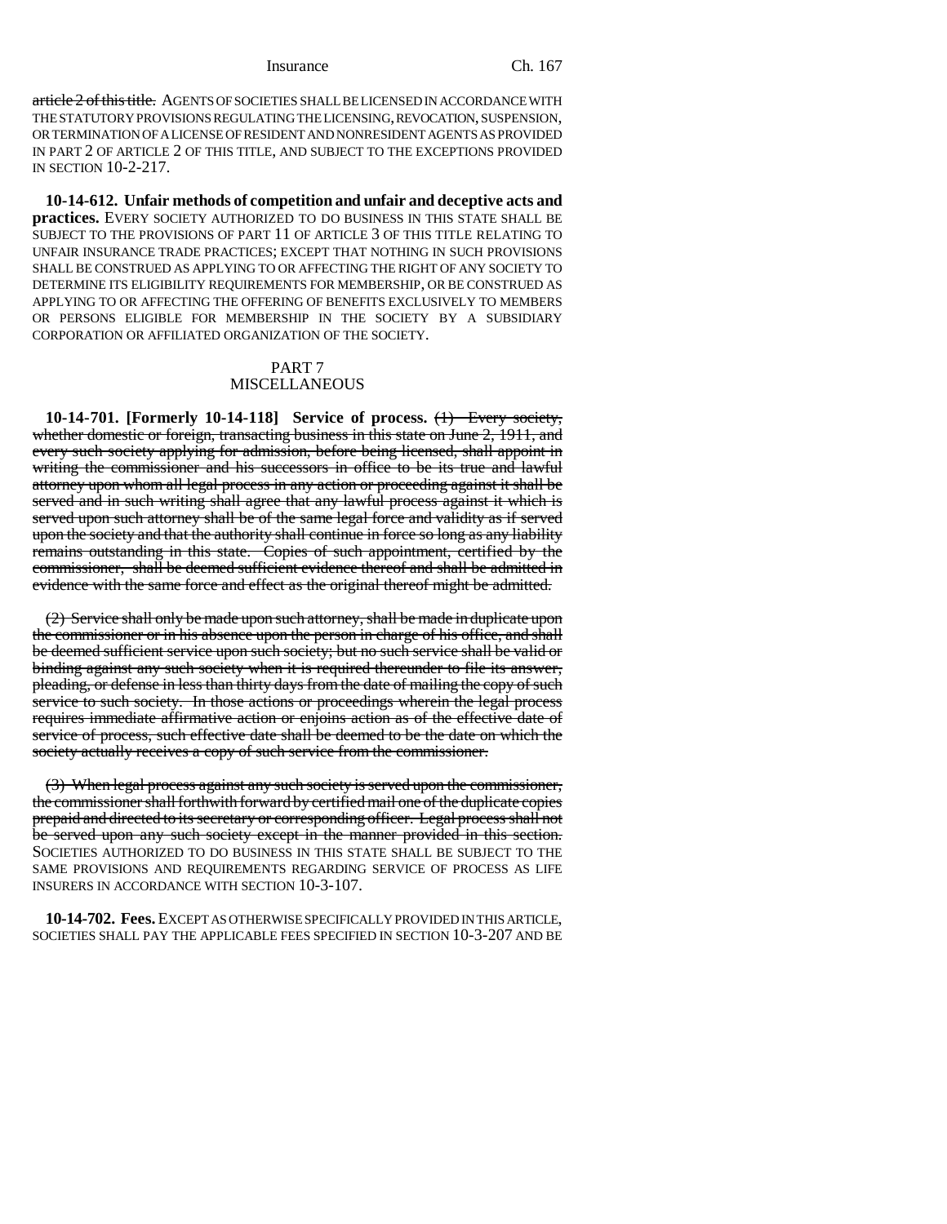article 2 of this title. AGENTS OF SOCIETIES SHALL BE LICENSED IN ACCORDANCE WITH THE STATUTORY PROVISIONS REGULATING THE LICENSING, REVOCATION, SUSPENSION, OR TERMINATION OF A LICENSE OF RESIDENT AND NONRESIDENT AGENTS AS PROVIDED IN PART 2 OF ARTICLE 2 OF THIS TITLE, AND SUBJECT TO THE EXCEPTIONS PROVIDED IN SECTION 10-2-217.

**10-14-612. Unfair methods of competition and unfair and deceptive acts and practices.** EVERY SOCIETY AUTHORIZED TO DO BUSINESS IN THIS STATE SHALL BE SUBJECT TO THE PROVISIONS OF PART 11 OF ARTICLE 3 OF THIS TITLE RELATING TO UNFAIR INSURANCE TRADE PRACTICES; EXCEPT THAT NOTHING IN SUCH PROVISIONS SHALL BE CONSTRUED AS APPLYING TO OR AFFECTING THE RIGHT OF ANY SOCIETY TO DETERMINE ITS ELIGIBILITY REQUIREMENTS FOR MEMBERSHIP, OR BE CONSTRUED AS APPLYING TO OR AFFECTING THE OFFERING OF BENEFITS EXCLUSIVELY TO MEMBERS OR PERSONS ELIGIBLE FOR MEMBERSHIP IN THE SOCIETY BY A SUBSIDIARY CORPORATION OR AFFILIATED ORGANIZATION OF THE SOCIETY.

### PART 7 **MISCELLANEOUS**

**10-14-701. [Formerly 10-14-118] Service of process.** (1) Every society, whether domestic or foreign, transacting business in this state on June 2, 1911, and every such society applying for admission, before being licensed, shall appoint in writing the commissioner and his successors in office to be its true and lawful attorney upon whom all legal process in any action or proceeding against it shall be served and in such writing shall agree that any lawful process against it which is served upon such attorney shall be of the same legal force and validity as if served upon the society and that the authority shall continue in force so long as any liability remains outstanding in this state. Copies of such appointment, certified by the commissioner, shall be deemed sufficient evidence thereof and shall be admitted in evidence with the same force and effect as the original thereof might be admitted.

(2) Service shall only be made upon such attorney, shall be made in duplicate upon the commissioner or in his absence upon the person in charge of his office, and shall be deemed sufficient service upon such society; but no such service shall be valid or binding against any such society when it is required thereunder to file its answer, pleading, or defense in less than thirty days from the date of mailing the copy of such service to such society. In those actions or proceedings wherein the legal process requires immediate affirmative action or enjoins action as of the effective date of service of process, such effective date shall be deemed to be the date on which the society actually receives a copy of such service from the commissioner.

(3) When legal process against any such society is served upon the commissioner, the commissioner shall forthwith forward by certified mail one of the duplicate copies prepaid and directed to its secretary or corresponding officer. Legal process shall not be served upon any such society except in the manner provided in this section. SOCIETIES AUTHORIZED TO DO BUSINESS IN THIS STATE SHALL BE SUBJECT TO THE SAME PROVISIONS AND REQUIREMENTS REGARDING SERVICE OF PROCESS AS LIFE INSURERS IN ACCORDANCE WITH SECTION 10-3-107.

**10-14-702. Fees.** EXCEPT AS OTHERWISE SPECIFICALLY PROVIDED IN THIS ARTICLE, SOCIETIES SHALL PAY THE APPLICABLE FEES SPECIFIED IN SECTION 10-3-207 AND BE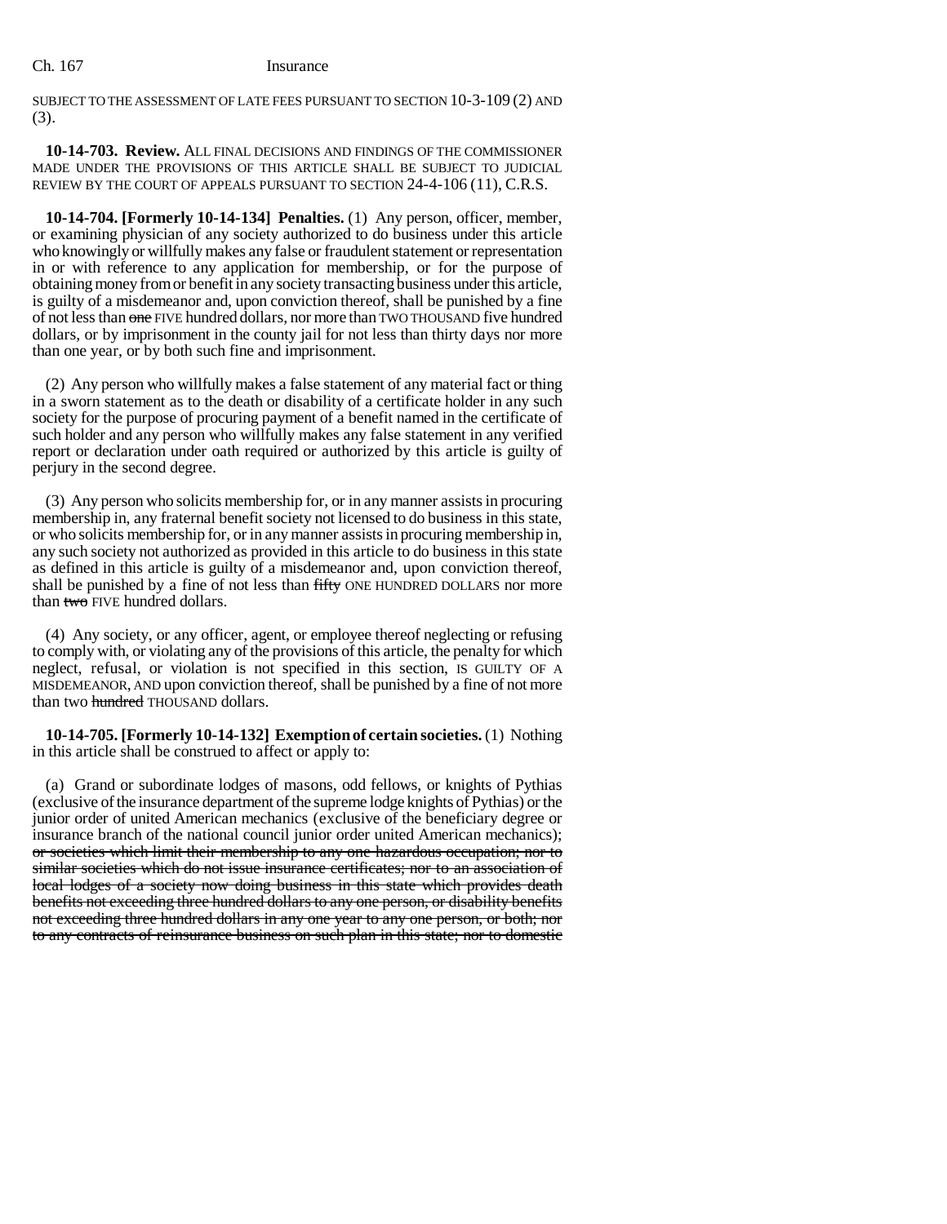SUBJECT TO THE ASSESSMENT OF LATE FEES PURSUANT TO SECTION 10-3-109 (2) AND (3).

**10-14-703. Review.** ALL FINAL DECISIONS AND FINDINGS OF THE COMMISSIONER MADE UNDER THE PROVISIONS OF THIS ARTICLE SHALL BE SUBJECT TO JUDICIAL REVIEW BY THE COURT OF APPEALS PURSUANT TO SECTION 24-4-106 (11), C.R.S.

**10-14-704. [Formerly 10-14-134] Penalties.** (1) Any person, officer, member, or examining physician of any society authorized to do business under this article who knowingly or willfully makes any false or fraudulent statement or representation in or with reference to any application for membership, or for the purpose of obtaining money from or benefit in any society transacting business under this article, is guilty of a misdemeanor and, upon conviction thereof, shall be punished by a fine of not less than one FIVE hundred dollars, nor more than TWO THOUSAND five hundred dollars, or by imprisonment in the county jail for not less than thirty days nor more than one year, or by both such fine and imprisonment.

(2) Any person who willfully makes a false statement of any material fact or thing in a sworn statement as to the death or disability of a certificate holder in any such society for the purpose of procuring payment of a benefit named in the certificate of such holder and any person who willfully makes any false statement in any verified report or declaration under oath required or authorized by this article is guilty of perjury in the second degree.

(3) Any person who solicits membership for, or in any manner assists in procuring membership in, any fraternal benefit society not licensed to do business in this state, or who solicits membership for, or in any manner assists in procuring membership in, any such society not authorized as provided in this article to do business in this state as defined in this article is guilty of a misdemeanor and, upon conviction thereof, shall be punished by a fine of not less than fifty ONE HUNDRED DOLLARS nor more than two FIVE hundred dollars.

(4) Any society, or any officer, agent, or employee thereof neglecting or refusing to comply with, or violating any of the provisions of this article, the penalty for which neglect, refusal, or violation is not specified in this section, IS GUILTY OF A MISDEMEANOR, AND upon conviction thereof, shall be punished by a fine of not more than two hundred THOUSAND dollars.

**10-14-705. [Formerly 10-14-132] Exemption of certain societies.** (1) Nothing in this article shall be construed to affect or apply to:

(a) Grand or subordinate lodges of masons, odd fellows, or knights of Pythias (exclusive of the insurance department of the supreme lodge knights of Pythias) or the junior order of united American mechanics (exclusive of the beneficiary degree or insurance branch of the national council junior order united American mechanics); or societies which limit their membership to any one hazardous occupation; nor to similar societies which do not issue insurance certificates; nor to an association of local lodges of a society now doing business in this state which provides death benefits not exceeding three hundred dollars to any one person, or disability benefits not exceeding three hundred dollars in any one year to any one person, or both; nor to any contracts of reinsurance business on such plan in this state; nor to domestic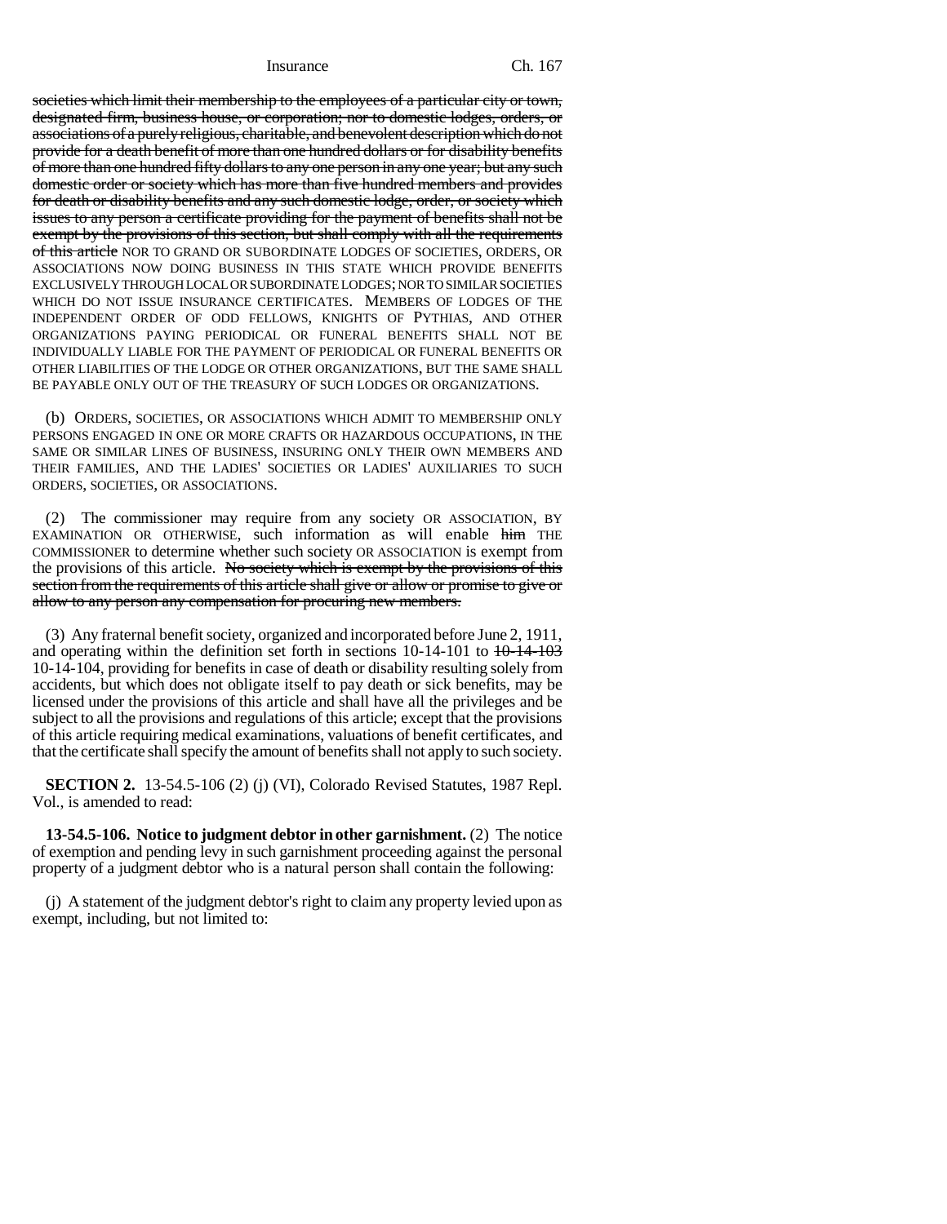societies which limit their membership to the employees of a particular city or town, designated firm, business house, or corporation; nor to domestic lodges, orders, or associations of a purely religious, charitable, and benevolent description which do not provide for a death benefit of more than one hundred dollars or for disability benefits of more than one hundred fifty dollars to any one person in any one year; but any such domestic order or society which has more than five hundred members and provides for death or disability benefits and any such domestic lodge, order, or society which issues to any person a certificate providing for the payment of benefits shall not be exempt by the provisions of this section, but shall comply with all the requirements of this article NOR TO GRAND OR SUBORDINATE LODGES OF SOCIETIES, ORDERS, OR ASSOCIATIONS NOW DOING BUSINESS IN THIS STATE WHICH PROVIDE BENEFITS EXCLUSIVELY THROUGH LOCAL OR SUBORDINATE LODGES; NOR TO SIMILAR SOCIETIES WHICH DO NOT ISSUE INSURANCE CERTIFICATES. MEMBERS OF LODGES OF THE INDEPENDENT ORDER OF ODD FELLOWS, KNIGHTS OF PYTHIAS, AND OTHER ORGANIZATIONS PAYING PERIODICAL OR FUNERAL BENEFITS SHALL NOT BE INDIVIDUALLY LIABLE FOR THE PAYMENT OF PERIODICAL OR FUNERAL BENEFITS OR OTHER LIABILITIES OF THE LODGE OR OTHER ORGANIZATIONS, BUT THE SAME SHALL BE PAYABLE ONLY OUT OF THE TREASURY OF SUCH LODGES OR ORGANIZATIONS.

(b) ORDERS, SOCIETIES, OR ASSOCIATIONS WHICH ADMIT TO MEMBERSHIP ONLY PERSONS ENGAGED IN ONE OR MORE CRAFTS OR HAZARDOUS OCCUPATIONS, IN THE SAME OR SIMILAR LINES OF BUSINESS, INSURING ONLY THEIR OWN MEMBERS AND THEIR FAMILIES, AND THE LADIES' SOCIETIES OR LADIES' AUXILIARIES TO SUCH ORDERS, SOCIETIES, OR ASSOCIATIONS.

(2) The commissioner may require from any society OR ASSOCIATION, BY EXAMINATION OR OTHERWISE, such information as will enable him THE COMMISSIONER to determine whether such society OR ASSOCIATION is exempt from the provisions of this article. No society which is exempt by the provisions of this section from the requirements of this article shall give or allow or promise to give or allow to any person any compensation for procuring new members.

(3) Any fraternal benefit society, organized and incorporated before June 2, 1911, and operating within the definition set forth in sections  $10-14-101$  to  $10-14-103$ 10-14-104, providing for benefits in case of death or disability resulting solely from accidents, but which does not obligate itself to pay death or sick benefits, may be licensed under the provisions of this article and shall have all the privileges and be subject to all the provisions and regulations of this article; except that the provisions of this article requiring medical examinations, valuations of benefit certificates, and that the certificate shall specify the amount of benefits shall not apply to such society.

**SECTION 2.** 13-54.5-106 (2) (j) (VI), Colorado Revised Statutes, 1987 Repl. Vol., is amended to read:

**13-54.5-106. Notice to judgment debtor in other garnishment.** (2) The notice of exemption and pending levy in such garnishment proceeding against the personal property of a judgment debtor who is a natural person shall contain the following:

(j) A statement of the judgment debtor's right to claim any property levied upon as exempt, including, but not limited to: